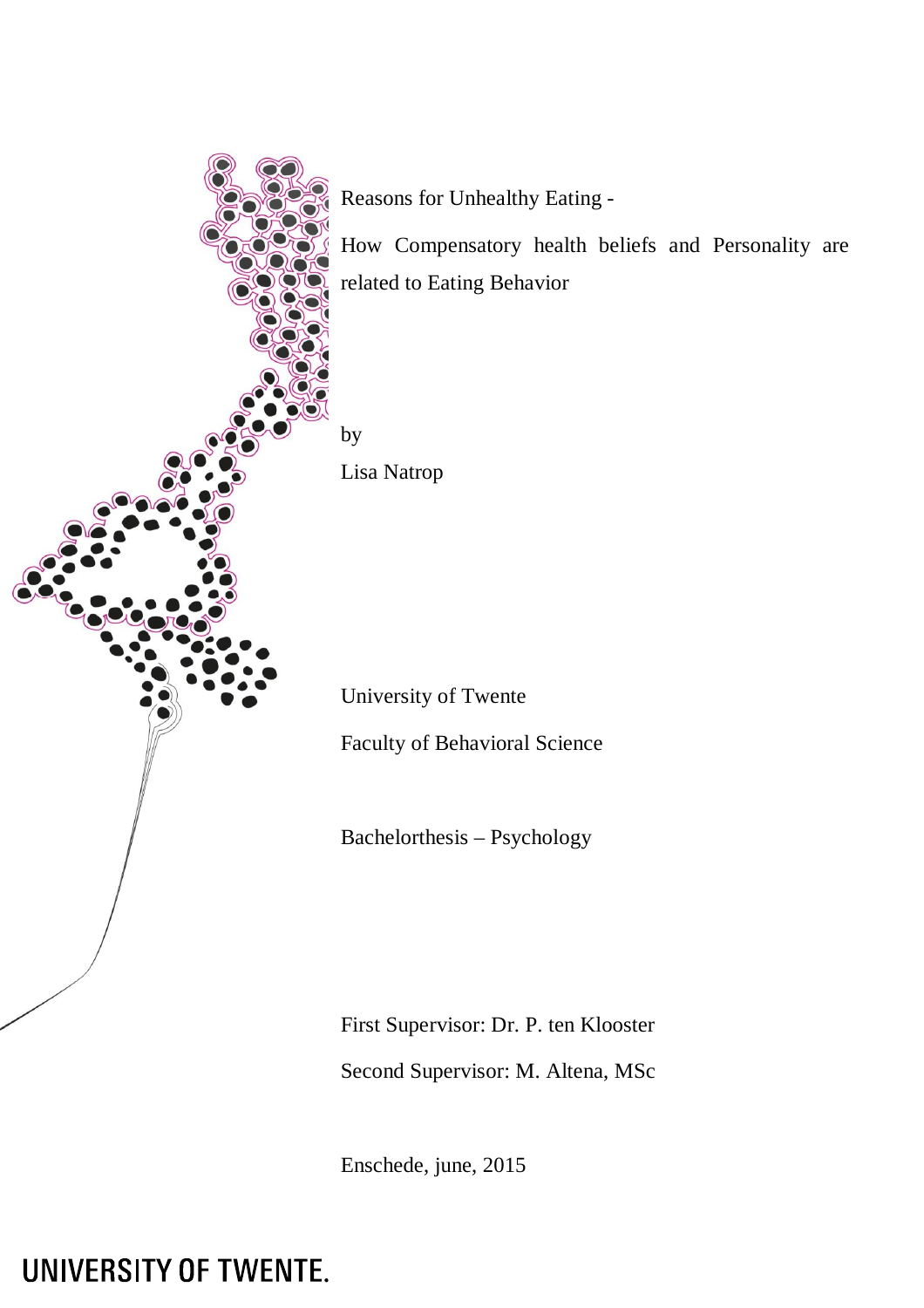

Reasons for Unhealthy Eating -

How Compensatory health beliefs and Personality are related to Eating Behavior

by

Lisa Natrop

University of Twente

Faculty of Behavioral Science

Bachelorthesis – Psychology

First Supervisor: Dr. P. ten Klooster Second Supervisor: M. Altena, MSc

Enschede, june, 2015

UNIVERSITY OF TWENTE.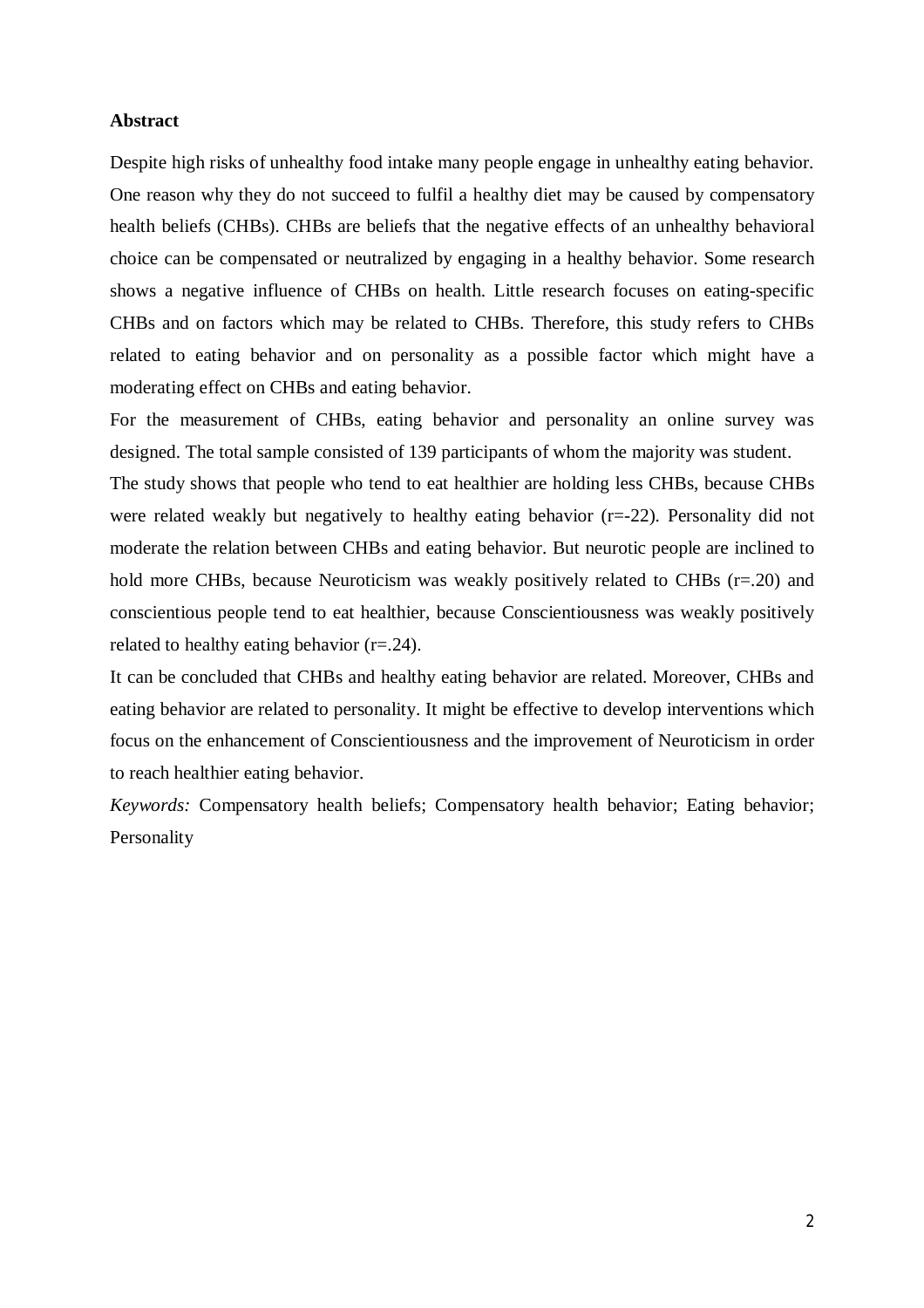### **Abstract**

Despite high risks of unhealthy food intake many people engage in unhealthy eating behavior. One reason why they do not succeed to fulfil a healthy diet may be caused by compensatory health beliefs (CHBs). CHBs are beliefs that the negative effects of an unhealthy behavioral choice can be compensated or neutralized by engaging in a healthy behavior. Some research shows a negative influence of CHBs on health. Little research focuses on eating-specific CHBs and on factors which may be related to CHBs. Therefore, this study refers to CHBs related to eating behavior and on personality as a possible factor which might have a moderating effect on CHBs and eating behavior.

For the measurement of CHBs, eating behavior and personality an online survey was designed. The total sample consisted of 139 participants of whom the majority was student.

The study shows that people who tend to eat healthier are holding less CHBs, because CHBs were related weakly but negatively to healthy eating behavior (r=-22). Personality did not moderate the relation between CHBs and eating behavior. But neurotic people are inclined to hold more CHBs, because Neuroticism was weakly positively related to CHBs (r=.20) and conscientious people tend to eat healthier, because Conscientiousness was weakly positively related to healthy eating behavior (r=.24).

It can be concluded that CHBs and healthy eating behavior are related. Moreover, CHBs and eating behavior are related to personality. It might be effective to develop interventions which focus on the enhancement of Conscientiousness and the improvement of Neuroticism in order to reach healthier eating behavior.

*Keywords:* Compensatory health beliefs; Compensatory health behavior; Eating behavior; Personality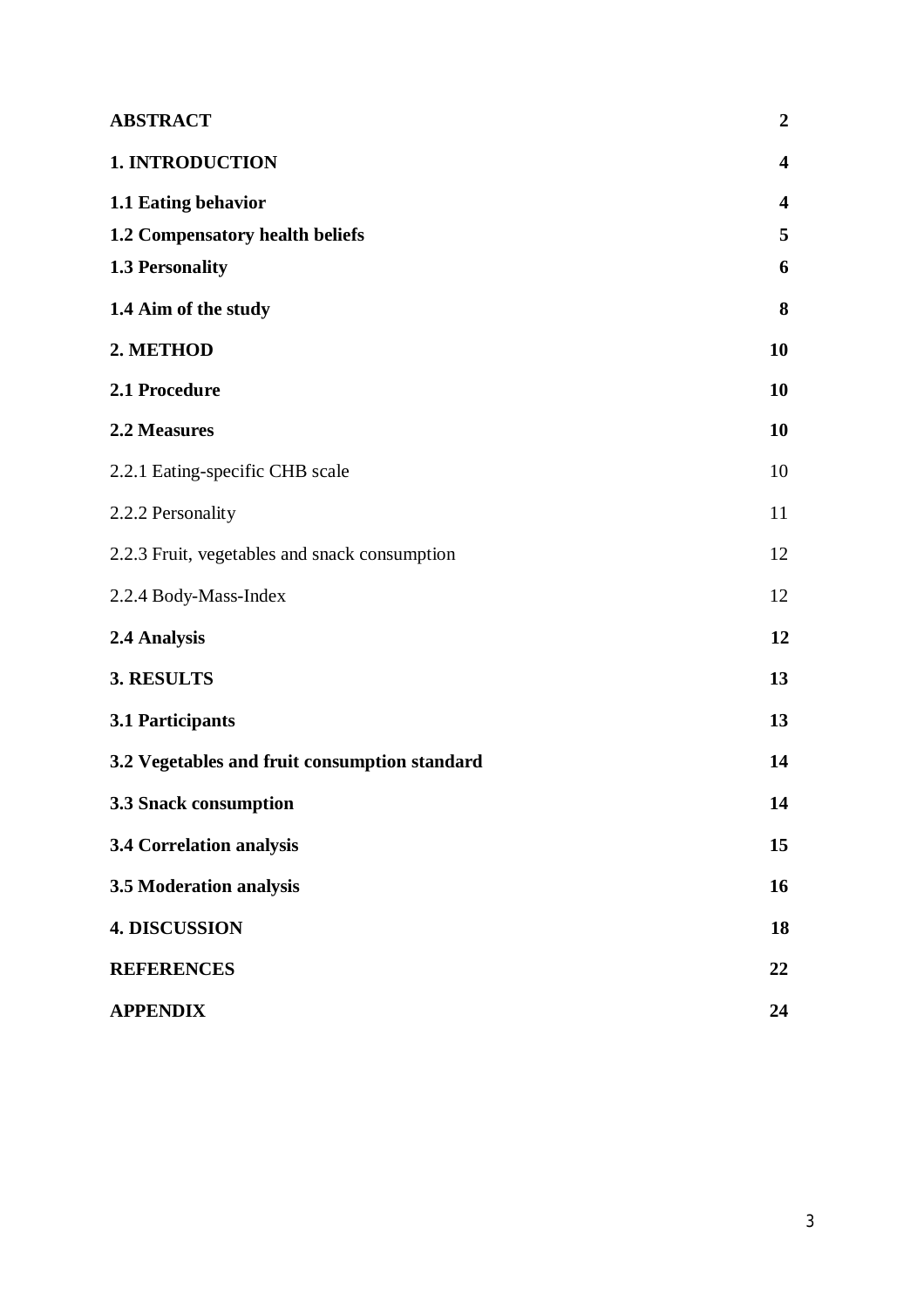| <b>ABSTRACT</b>                               | $\boldsymbol{2}$        |
|-----------------------------------------------|-------------------------|
| <b>1. INTRODUCTION</b>                        | $\overline{\mathbf{4}}$ |
| 1.1 Eating behavior                           | $\overline{\mathbf{4}}$ |
| 1.2 Compensatory health beliefs               | 5                       |
| <b>1.3 Personality</b>                        | 6                       |
| 1.4 Aim of the study                          | 8                       |
| 2. METHOD                                     | 10                      |
| 2.1 Procedure                                 | 10                      |
| 2.2 Measures                                  | 10                      |
| 2.2.1 Eating-specific CHB scale               | 10                      |
| 2.2.2 Personality                             | 11                      |
| 2.2.3 Fruit, vegetables and snack consumption | 12                      |
| 2.2.4 Body-Mass-Index                         | 12                      |
| 2.4 Analysis                                  | 12                      |
| 3. RESULTS                                    | 13                      |
| 3.1 Participants                              | 13                      |
| 3.2 Vegetables and fruit consumption standard | 14                      |
| 3.3 Snack consumption                         | 14                      |
| 3.4 Correlation analysis                      | 15                      |
| 3.5 Moderation analysis                       | 16                      |
| <b>4. DISCUSSION</b>                          | 18                      |
| <b>REFERENCES</b>                             | 22                      |
| <b>APPENDIX</b>                               | 24                      |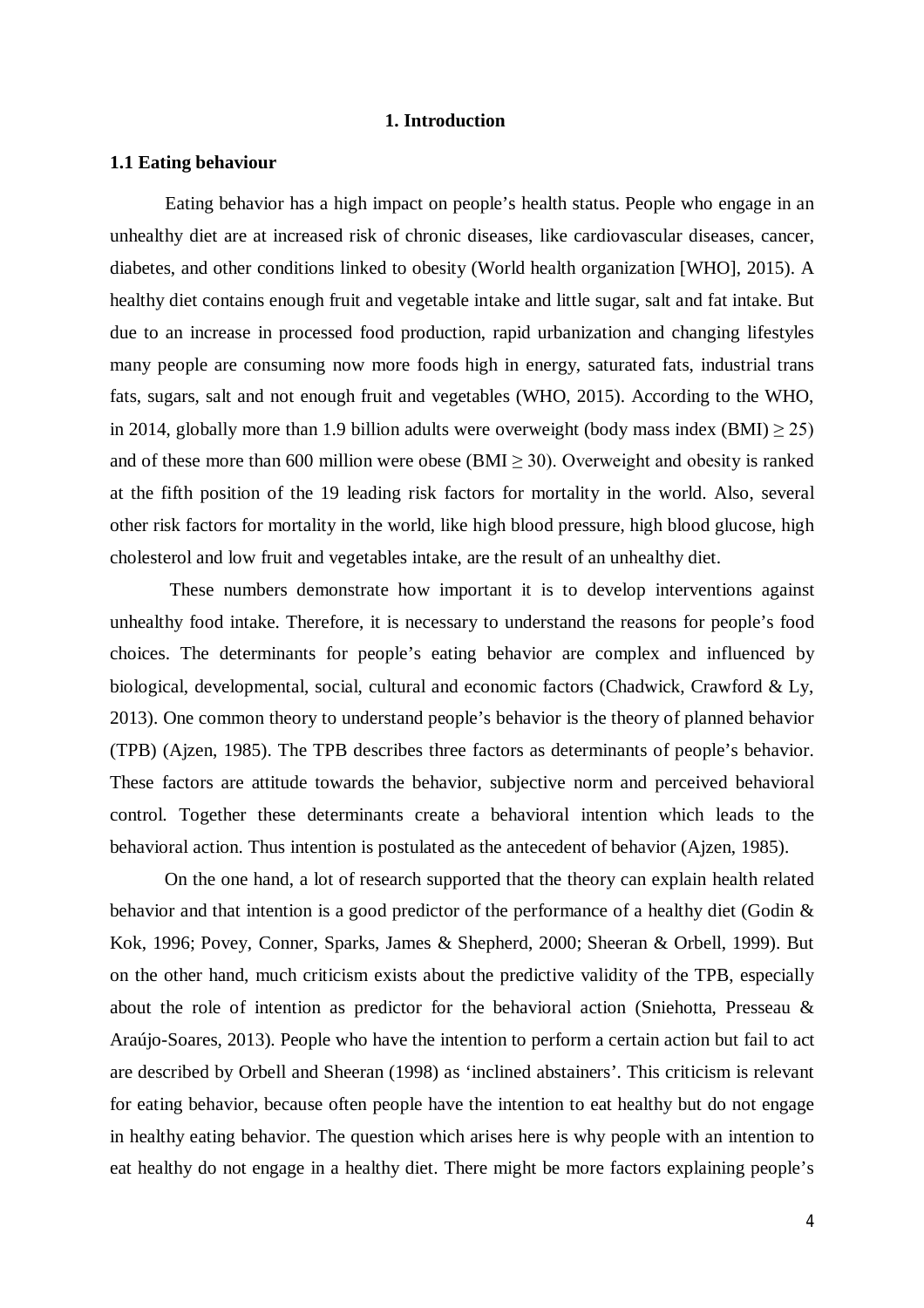## **1. Introduction**

## **1.1 Eating behaviour**

Eating behavior has a high impact on people's health status. People who engage in an unhealthy diet are at increased risk of chronic diseases, like cardiovascular diseases, cancer, diabetes, and other conditions linked to obesity (World health organization [WHO], 2015). A healthy diet contains enough fruit and vegetable intake and little sugar, salt and fat intake. But due to an increase in processed food production, rapid urbanization and changing lifestyles many people are consuming now more foods high in energy, saturated fats, industrial trans fats, sugars, salt and not enough fruit and vegetables (WHO, 2015). According to the WHO, in 2014, globally more than 1.9 billion adults were overweight (body mass index  $(BMI) \ge 25$ ) and of these more than 600 million were obese (BMI  $\geq$  30). Overweight and obesity is ranked at the fifth position of the 19 leading risk factors for mortality in the world. Also, several other risk factors for mortality in the world, like high blood pressure, high blood glucose, high cholesterol and low fruit and vegetables intake, are the result of an unhealthy diet.

These numbers demonstrate how important it is to develop interventions against unhealthy food intake. Therefore, it is necessary to understand the reasons for people's food choices. The determinants for people's eating behavior are complex and influenced by biological, developmental, social, cultural and economic factors (Chadwick, Crawford & Ly, 2013). One common theory to understand people's behavior is the theory of planned behavior (TPB) (Ajzen, 1985). The TPB describes three factors as determinants of people's behavior. These factors are attitude towards the behavior, subjective norm and perceived behavioral control. Together these determinants create a behavioral intention which leads to the behavioral action. Thus intention is postulated as the antecedent of behavior (Ajzen, 1985).

On the one hand, a lot of research supported that the theory can explain health related behavior and that intention is a good predictor of the performance of a healthy diet (Godin & Kok, 1996; Povey, Conner, Sparks, James & Shepherd, 2000; Sheeran & Orbell, 1999). But on the other hand, much criticism exists about the predictive validity of the TPB, especially about the role of intention as predictor for the behavioral action (Sniehotta, Presseau & Araújo-Soares, 2013). People who have the intention to perform a certain action but fail to act are described by Orbell and Sheeran (1998) as 'inclined abstainers'. This criticism is relevant for eating behavior, because often people have the intention to eat healthy but do not engage in healthy eating behavior. The question which arises here is why people with an intention to eat healthy do not engage in a healthy diet. There might be more factors explaining people's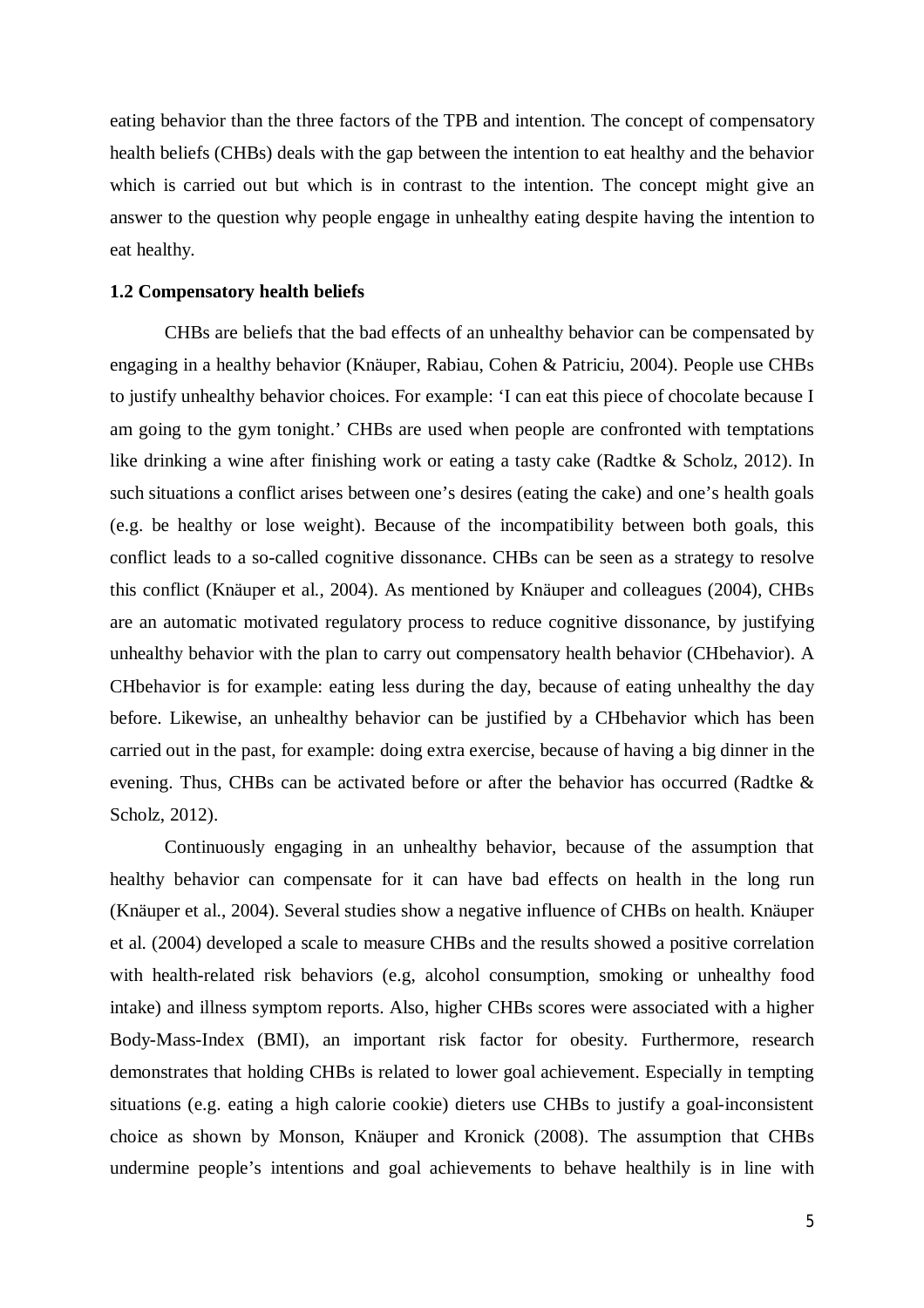eating behavior than the three factors of the TPB and intention. The concept of compensatory health beliefs (CHBs) deals with the gap between the intention to eat healthy and the behavior which is carried out but which is in contrast to the intention. The concept might give an answer to the question why people engage in unhealthy eating despite having the intention to eat healthy.

## **1.2 Compensatory health beliefs**

CHBs are beliefs that the bad effects of an unhealthy behavior can be compensated by engaging in a healthy behavior (Knäuper, Rabiau, Cohen & Patriciu, 2004). People use CHBs to justify unhealthy behavior choices. For example: 'I can eat this piece of chocolate because I am going to the gym tonight.' CHBs are used when people are confronted with temptations like drinking a wine after finishing work or eating a tasty cake (Radtke & Scholz, 2012). In such situations a conflict arises between one's desires (eating the cake) and one's health goals (e.g. be healthy or lose weight). Because of the incompatibility between both goals, this conflict leads to a so-called cognitive dissonance. CHBs can be seen as a strategy to resolve this conflict (Knäuper et al., 2004). As mentioned by Knäuper and colleagues (2004), CHBs are an automatic motivated regulatory process to reduce cognitive dissonance, by justifying unhealthy behavior with the plan to carry out compensatory health behavior (CHbehavior). A CHbehavior is for example: eating less during the day, because of eating unhealthy the day before. Likewise, an unhealthy behavior can be justified by a CHbehavior which has been carried out in the past, for example: doing extra exercise, because of having a big dinner in the evening. Thus, CHBs can be activated before or after the behavior has occurred (Radtke & Scholz, 2012).

Continuously engaging in an unhealthy behavior, because of the assumption that healthy behavior can compensate for it can have bad effects on health in the long run (Knäuper et al., 2004). Several studies show a negative influence of CHBs on health. Knäuper et al. (2004) developed a scale to measure CHBs and the results showed a positive correlation with health-related risk behaviors (e.g, alcohol consumption, smoking or unhealthy food intake) and illness symptom reports. Also, higher CHBs scores were associated with a higher Body-Mass-Index (BMI), an important risk factor for obesity. Furthermore, research demonstrates that holding CHBs is related to lower goal achievement. Especially in tempting situations (e.g. eating a high calorie cookie) dieters use CHBs to justify a goal-inconsistent choice as shown by Monson, Knäuper and Kronick (2008). The assumption that CHBs undermine people's intentions and goal achievements to behave healthily is in line with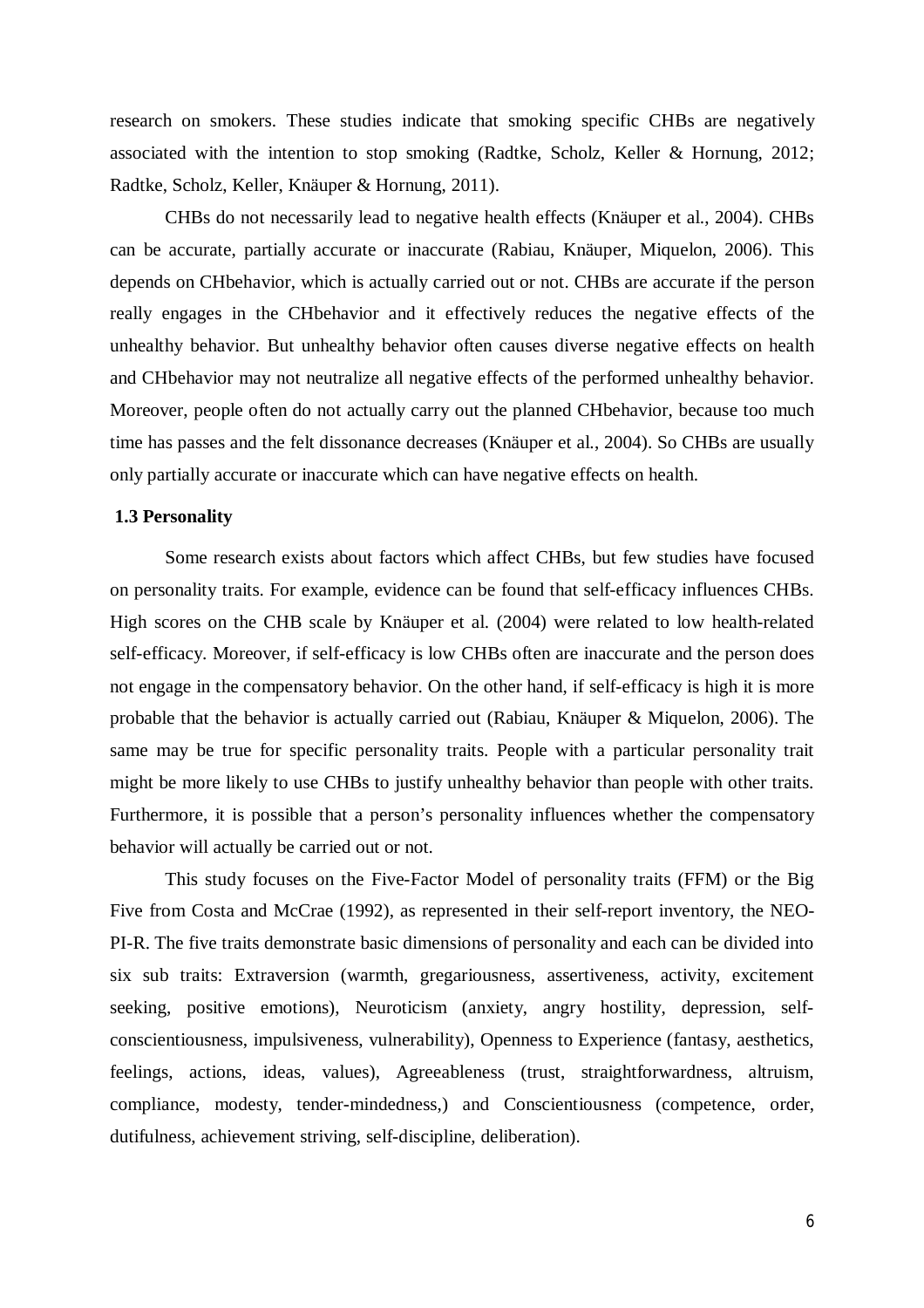research on smokers. These studies indicate that smoking specific CHBs are negatively associated with the intention to stop smoking (Radtke, Scholz, Keller & Hornung, 2012; Radtke, Scholz, Keller, Knäuper & Hornung, 2011).

CHBs do not necessarily lead to negative health effects (Knäuper et al., 2004). CHBs can be accurate, partially accurate or inaccurate (Rabiau, Knäuper, Miquelon, 2006). This depends on CHbehavior, which is actually carried out or not. CHBs are accurate if the person really engages in the CHbehavior and it effectively reduces the negative effects of the unhealthy behavior. But unhealthy behavior often causes diverse negative effects on health and CHbehavior may not neutralize all negative effects of the performed unhealthy behavior. Moreover, people often do not actually carry out the planned CHbehavior, because too much time has passes and the felt dissonance decreases (Knäuper et al., 2004). So CHBs are usually only partially accurate or inaccurate which can have negative effects on health.

## **1.3 Personality**

Some research exists about factors which affect CHBs, but few studies have focused on personality traits. For example, evidence can be found that self-efficacy influences CHBs. High scores on the CHB scale by Knäuper et al. (2004) were related to low health-related self-efficacy. Moreover, if self-efficacy is low CHBs often are inaccurate and the person does not engage in the compensatory behavior. On the other hand, if self-efficacy is high it is more probable that the behavior is actually carried out (Rabiau, Knäuper & Miquelon, 2006). The same may be true for specific personality traits. People with a particular personality trait might be more likely to use CHBs to justify unhealthy behavior than people with other traits. Furthermore, it is possible that a person's personality influences whether the compensatory behavior will actually be carried out or not.

This study focuses on the Five-Factor Model of personality traits (FFM) or the Big Five from Costa and McCrae (1992), as represented in their self-report inventory, the NEO-PI-R. The five traits demonstrate basic dimensions of personality and each can be divided into six sub traits: Extraversion (warmth, gregariousness, assertiveness, activity, excitement seeking, positive emotions), Neuroticism (anxiety, angry hostility, depression, selfconscientiousness, impulsiveness, vulnerability), Openness to Experience (fantasy, aesthetics, feelings, actions, ideas, values), Agreeableness (trust, straightforwardness, altruism, compliance, modesty, tender-mindedness,) and Conscientiousness (competence, order, dutifulness, achievement striving, self-discipline, deliberation).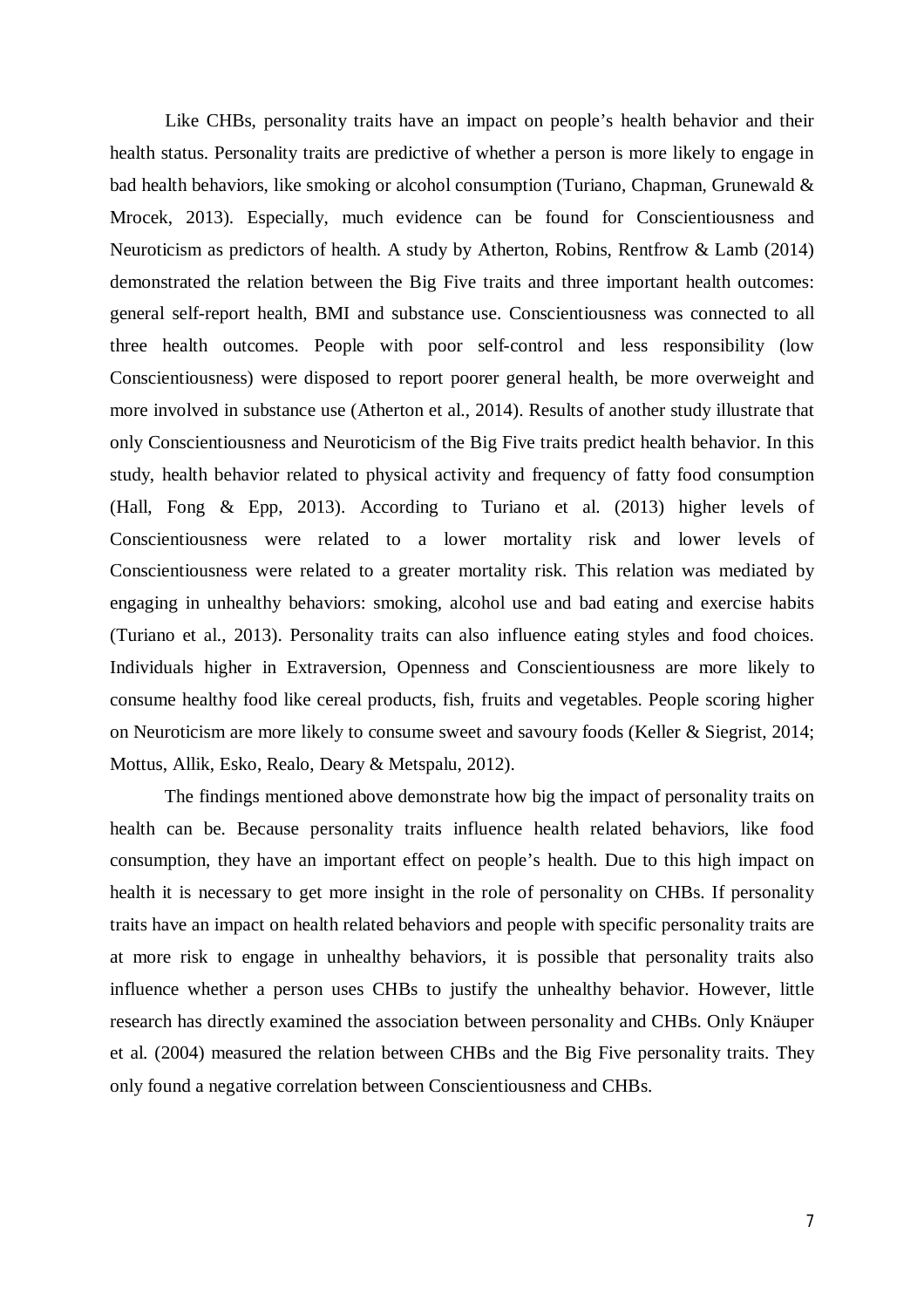Like CHBs, personality traits have an impact on people's health behavior and their health status. Personality traits are predictive of whether a person is more likely to engage in bad health behaviors, like smoking or alcohol consumption (Turiano, Chapman, Grunewald & Mrocek, 2013). Especially, much evidence can be found for Conscientiousness and Neuroticism as predictors of health. A study by Atherton, Robins, Rentfrow & Lamb (2014) demonstrated the relation between the Big Five traits and three important health outcomes: general self-report health, BMI and substance use. Conscientiousness was connected to all three health outcomes. People with poor self-control and less responsibility (low Conscientiousness) were disposed to report poorer general health, be more overweight and more involved in substance use (Atherton et al., 2014). Results of another study illustrate that only Conscientiousness and Neuroticism of the Big Five traits predict health behavior. In this study, health behavior related to physical activity and frequency of fatty food consumption (Hall, Fong & Epp, 2013). According to Turiano et al. (2013) higher levels of Conscientiousness were related to a lower mortality risk and lower levels of Conscientiousness were related to a greater mortality risk. This relation was mediated by engaging in unhealthy behaviors: smoking, alcohol use and bad eating and exercise habits (Turiano et al., 2013). Personality traits can also influence eating styles and food choices. Individuals higher in Extraversion, Openness and Conscientiousness are more likely to consume healthy food like cereal products, fish, fruits and vegetables. People scoring higher on Neuroticism are more likely to consume sweet and savoury foods (Keller & Siegrist, 2014; Mottus, Allik, Esko, Realo, Deary & Metspalu, 2012).

The findings mentioned above demonstrate how big the impact of personality traits on health can be. Because personality traits influence health related behaviors, like food consumption, they have an important effect on people's health. Due to this high impact on health it is necessary to get more insight in the role of personality on CHBs. If personality traits have an impact on health related behaviors and people with specific personality traits are at more risk to engage in unhealthy behaviors, it is possible that personality traits also influence whether a person uses CHBs to justify the unhealthy behavior. However, little research has directly examined the association between personality and CHBs. Only Knäuper et al. (2004) measured the relation between CHBs and the Big Five personality traits. They only found a negative correlation between Conscientiousness and CHBs.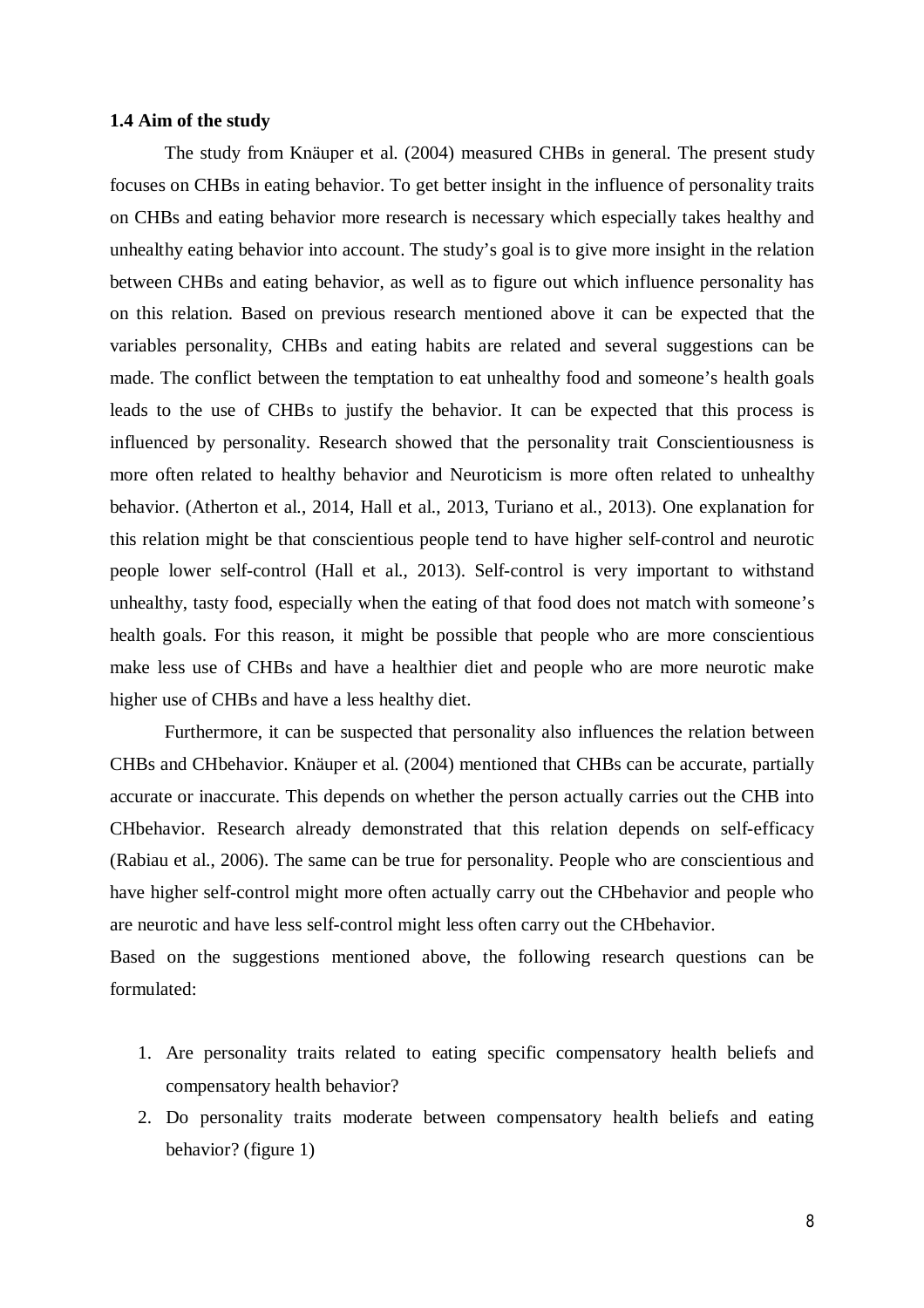### **1.4 Aim of the study**

The study from Knäuper et al. (2004) measured CHBs in general. The present study focuses on CHBs in eating behavior. To get better insight in the influence of personality traits on CHBs and eating behavior more research is necessary which especially takes healthy and unhealthy eating behavior into account. The study's goal is to give more insight in the relation between CHBs and eating behavior, as well as to figure out which influence personality has on this relation. Based on previous research mentioned above it can be expected that the variables personality, CHBs and eating habits are related and several suggestions can be made. The conflict between the temptation to eat unhealthy food and someone's health goals leads to the use of CHBs to justify the behavior. It can be expected that this process is influenced by personality. Research showed that the personality trait Conscientiousness is more often related to healthy behavior and Neuroticism is more often related to unhealthy behavior. (Atherton et al., 2014, Hall et al., 2013, Turiano et al., 2013). One explanation for this relation might be that conscientious people tend to have higher self-control and neurotic people lower self-control (Hall et al., 2013). Self-control is very important to withstand unhealthy, tasty food, especially when the eating of that food does not match with someone's health goals. For this reason, it might be possible that people who are more conscientious make less use of CHBs and have a healthier diet and people who are more neurotic make higher use of CHBs and have a less healthy diet.

Furthermore, it can be suspected that personality also influences the relation between CHBs and CHbehavior. Knäuper et al. (2004) mentioned that CHBs can be accurate, partially accurate or inaccurate. This depends on whether the person actually carries out the CHB into CHbehavior. Research already demonstrated that this relation depends on self-efficacy (Rabiau et al., 2006). The same can be true for personality. People who are conscientious and have higher self-control might more often actually carry out the CHbehavior and people who are neurotic and have less self-control might less often carry out the CHbehavior.

Based on the suggestions mentioned above, the following research questions can be formulated:

- 1. Are personality traits related to eating specific compensatory health beliefs and compensatory health behavior?
- 2. Do personality traits moderate between compensatory health beliefs and eating behavior? (figure 1)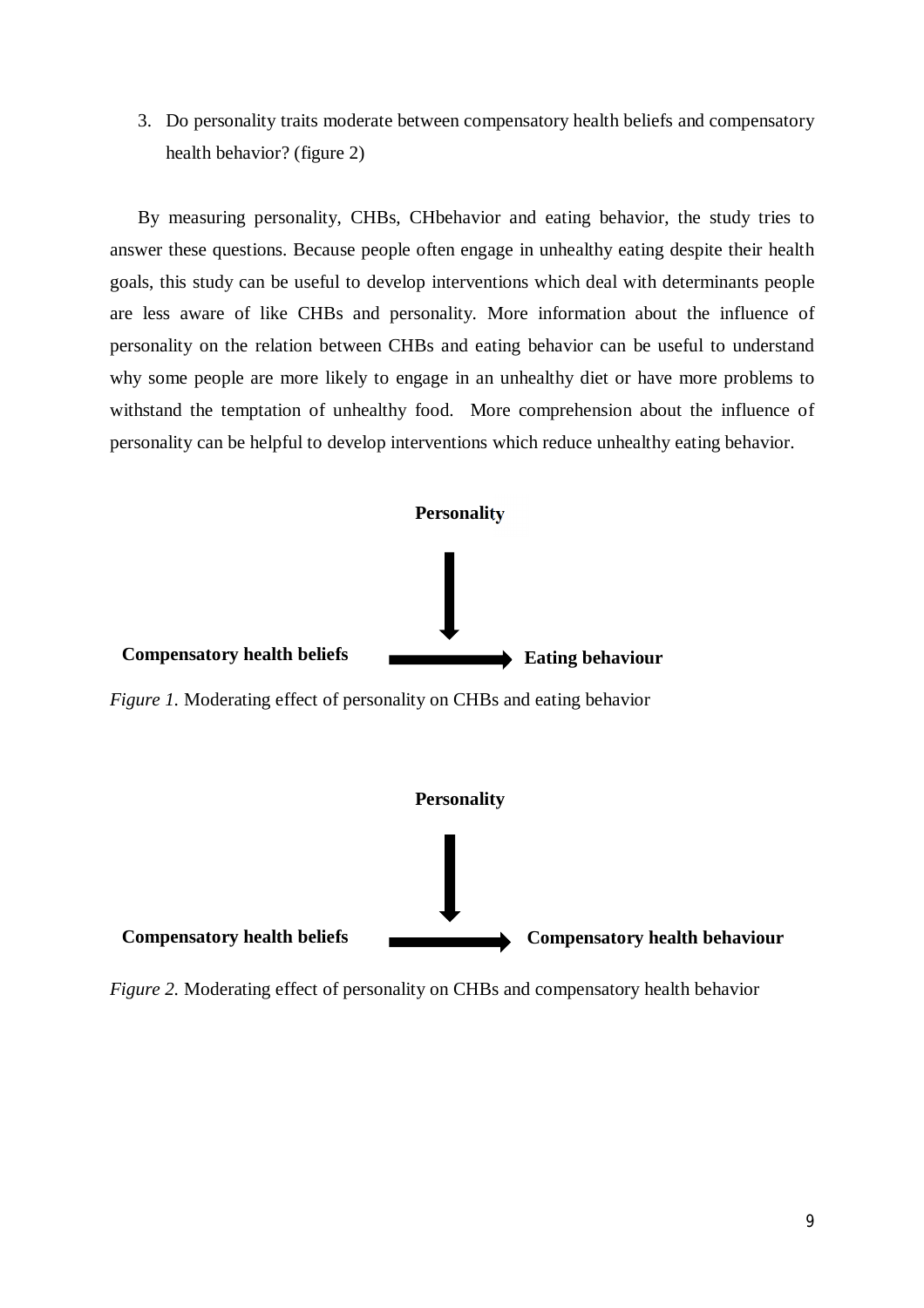3. Do personality traits moderate between compensatory health beliefs and compensatory health behavior? (figure 2)

By measuring personality, CHBs, CHbehavior and eating behavior, the study tries to answer these questions. Because people often engage in unhealthy eating despite their health goals, this study can be useful to develop interventions which deal with determinants people are less aware of like CHBs and personality. More information about the influence of personality on the relation between CHBs and eating behavior can be useful to understand why some people are more likely to engage in an unhealthy diet or have more problems to withstand the temptation of unhealthy food. More comprehension about the influence of personality can be helpful to develop interventions which reduce unhealthy eating behavior.





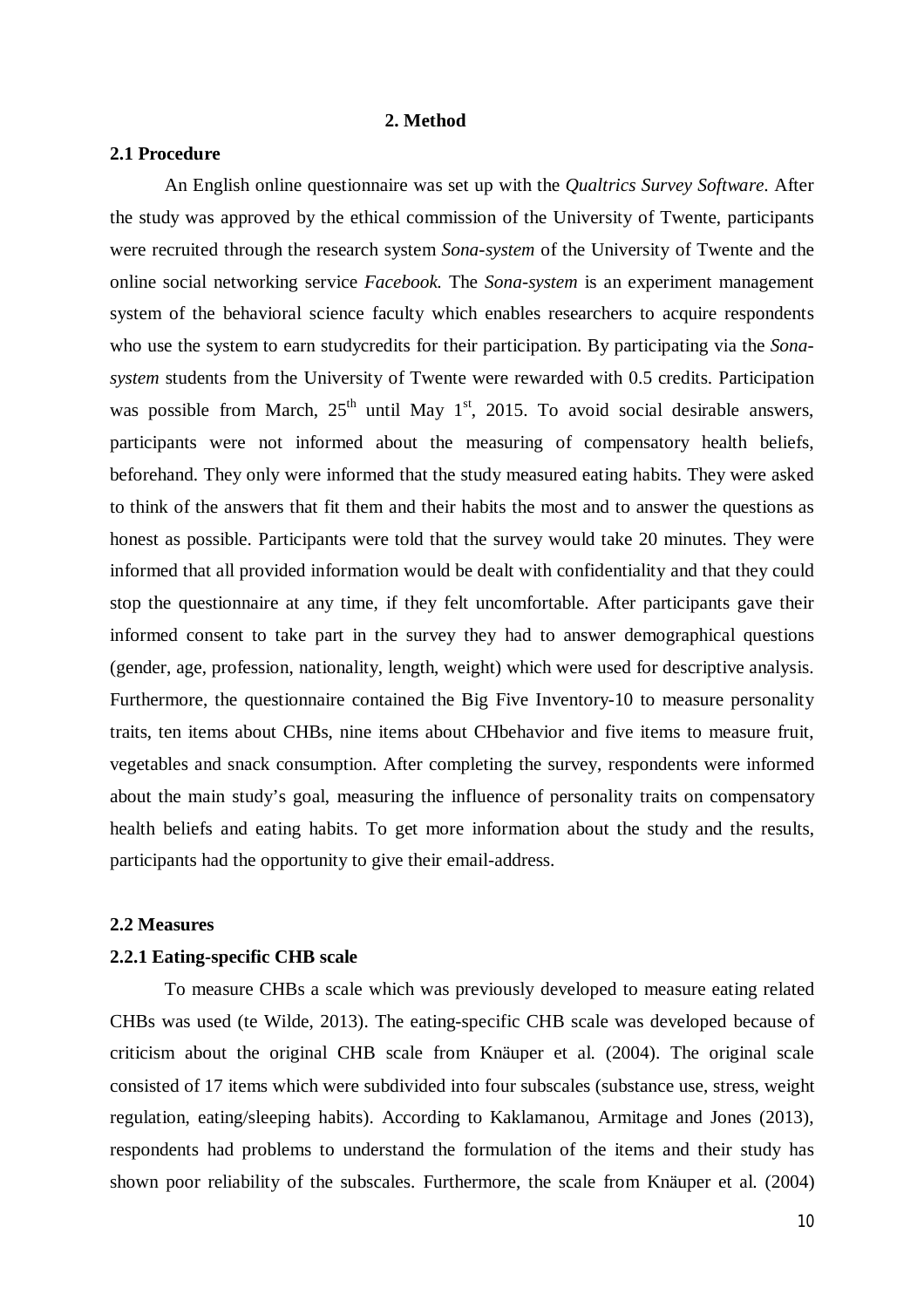### **2. Method**

## **2.1 Procedure**

An English online questionnaire was set up with the *Qualtrics Survey Software*. After the study was approved by the ethical commission of the University of Twente, participants were recruited through the research system *Sona-system* of the University of Twente and the online social networking service *Facebook.* The *Sona-system* is an experiment management system of the behavioral science faculty which enables researchers to acquire respondents who use the system to earn studycredits for their participation. By participating via the *Sonasystem* students from the University of Twente were rewarded with 0.5 credits. Participation was possible from March,  $25<sup>th</sup>$  until May 1<sup>st</sup>, 2015. To avoid social desirable answers, participants were not informed about the measuring of compensatory health beliefs, beforehand. They only were informed that the study measured eating habits. They were asked to think of the answers that fit them and their habits the most and to answer the questions as honest as possible. Participants were told that the survey would take 20 minutes. They were informed that all provided information would be dealt with confidentiality and that they could stop the questionnaire at any time, if they felt uncomfortable. After participants gave their informed consent to take part in the survey they had to answer demographical questions (gender, age, profession, nationality, length, weight) which were used for descriptive analysis. Furthermore, the questionnaire contained the Big Five Inventory-10 to measure personality traits, ten items about CHBs, nine items about CHbehavior and five items to measure fruit, vegetables and snack consumption. After completing the survey, respondents were informed about the main study's goal, measuring the influence of personality traits on compensatory health beliefs and eating habits. To get more information about the study and the results, participants had the opportunity to give their email-address.

#### **2.2 Measures**

### **2.2.1 Eating-specific CHB scale**

To measure CHBs a scale which was previously developed to measure eating related CHBs was used (te Wilde, 2013). The eating-specific CHB scale was developed because of criticism about the original CHB scale from Knäuper et al. (2004). The original scale consisted of 17 items which were subdivided into four subscales (substance use, stress, weight regulation, eating/sleeping habits). According to Kaklamanou, Armitage and Jones (2013), respondents had problems to understand the formulation of the items and their study has shown poor reliability of the subscales. Furthermore, the scale from Knäuper et al. (2004)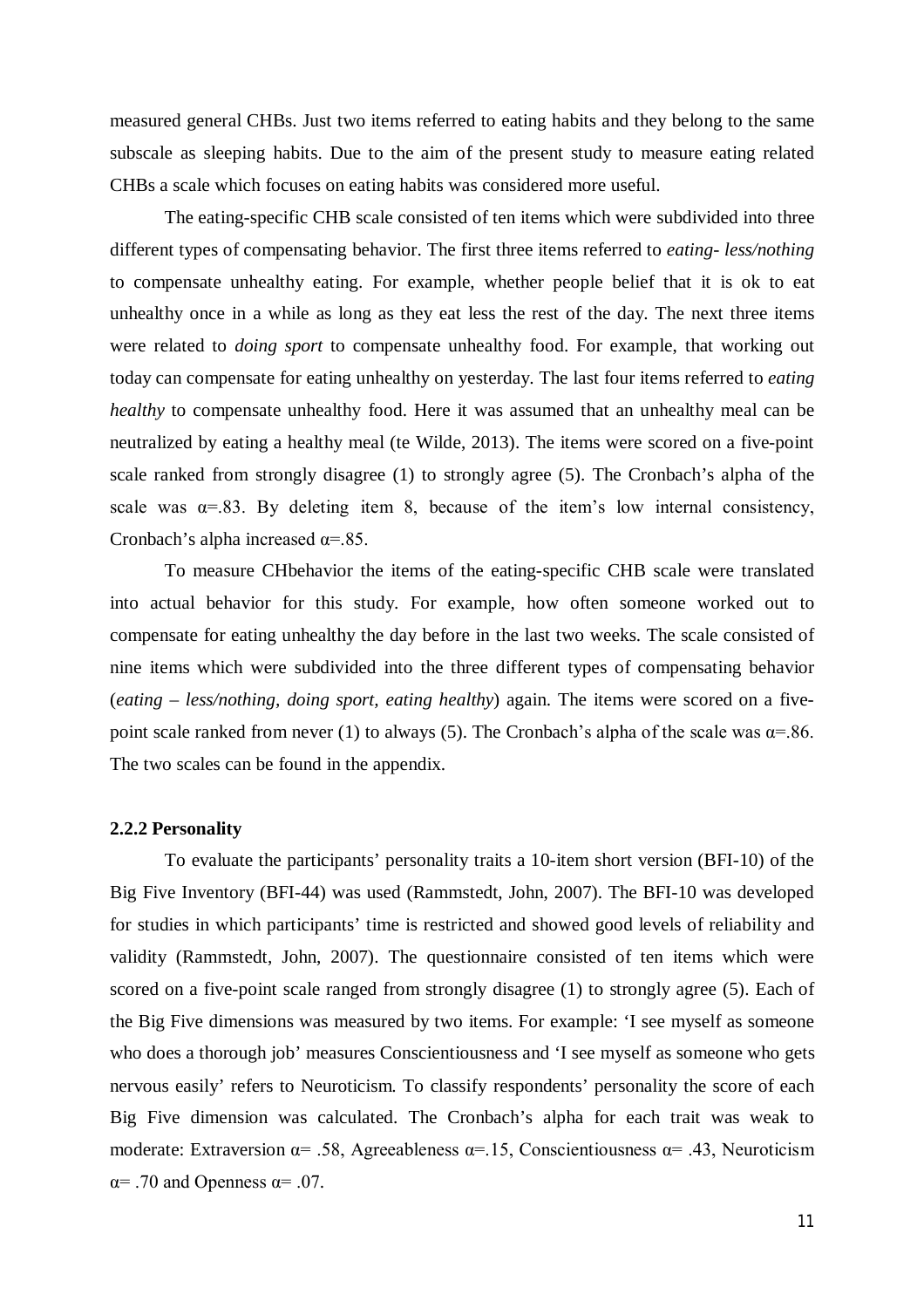measured general CHBs. Just two items referred to eating habits and they belong to the same subscale as sleeping habits. Due to the aim of the present study to measure eating related CHBs a scale which focuses on eating habits was considered more useful.

The eating-specific CHB scale consisted of ten items which were subdivided into three different types of compensating behavior. The first three items referred to *eating- less/nothing* to compensate unhealthy eating. For example, whether people belief that it is ok to eat unhealthy once in a while as long as they eat less the rest of the day. The next three items were related to *doing sport* to compensate unhealthy food. For example, that working out today can compensate for eating unhealthy on yesterday. The last four items referred to *eating healthy* to compensate unhealthy food. Here it was assumed that an unhealthy meal can be neutralized by eating a healthy meal (te Wilde, 2013). The items were scored on a five-point scale ranked from strongly disagree (1) to strongly agree (5). The Cronbach's alpha of the scale was  $\alpha = .83$ . By deleting item 8, because of the item's low internal consistency, Cronbach's alpha increased  $\alpha = 85$ .

To measure CHbehavior the items of the eating-specific CHB scale were translated into actual behavior for this study. For example, how often someone worked out to compensate for eating unhealthy the day before in the last two weeks. The scale consisted of nine items which were subdivided into the three different types of compensating behavior (*eating – less/nothing, doing sport, eating healthy*) again. The items were scored on a fivepoint scale ranked from never (1) to always (5). The Cronbach's alpha of the scale was  $\alpha = 86$ . The two scales can be found in the appendix.

#### **2.2.2 Personality**

To evaluate the participants' personality traits a 10-item short version (BFI-10) of the Big Five Inventory (BFI-44) was used (Rammstedt, John, 2007). The BFI-10 was developed for studies in which participants' time is restricted and showed good levels of reliability and validity (Rammstedt, John, 2007). The questionnaire consisted of ten items which were scored on a five-point scale ranged from strongly disagree (1) to strongly agree (5). Each of the Big Five dimensions was measured by two items. For example: 'I see myself as someone who does a thorough job' measures Conscientiousness and 'I see myself as someone who gets nervous easily' refers to Neuroticism. To classify respondents' personality the score of each Big Five dimension was calculated. The Cronbach's alpha for each trait was weak to moderate: Extraversion  $\alpha$ = .58, Agreeableness  $\alpha$ = .15, Conscientiousness  $\alpha$ = .43, Neuroticism  $\alpha$ = .70 and Openness  $\alpha$ = .07.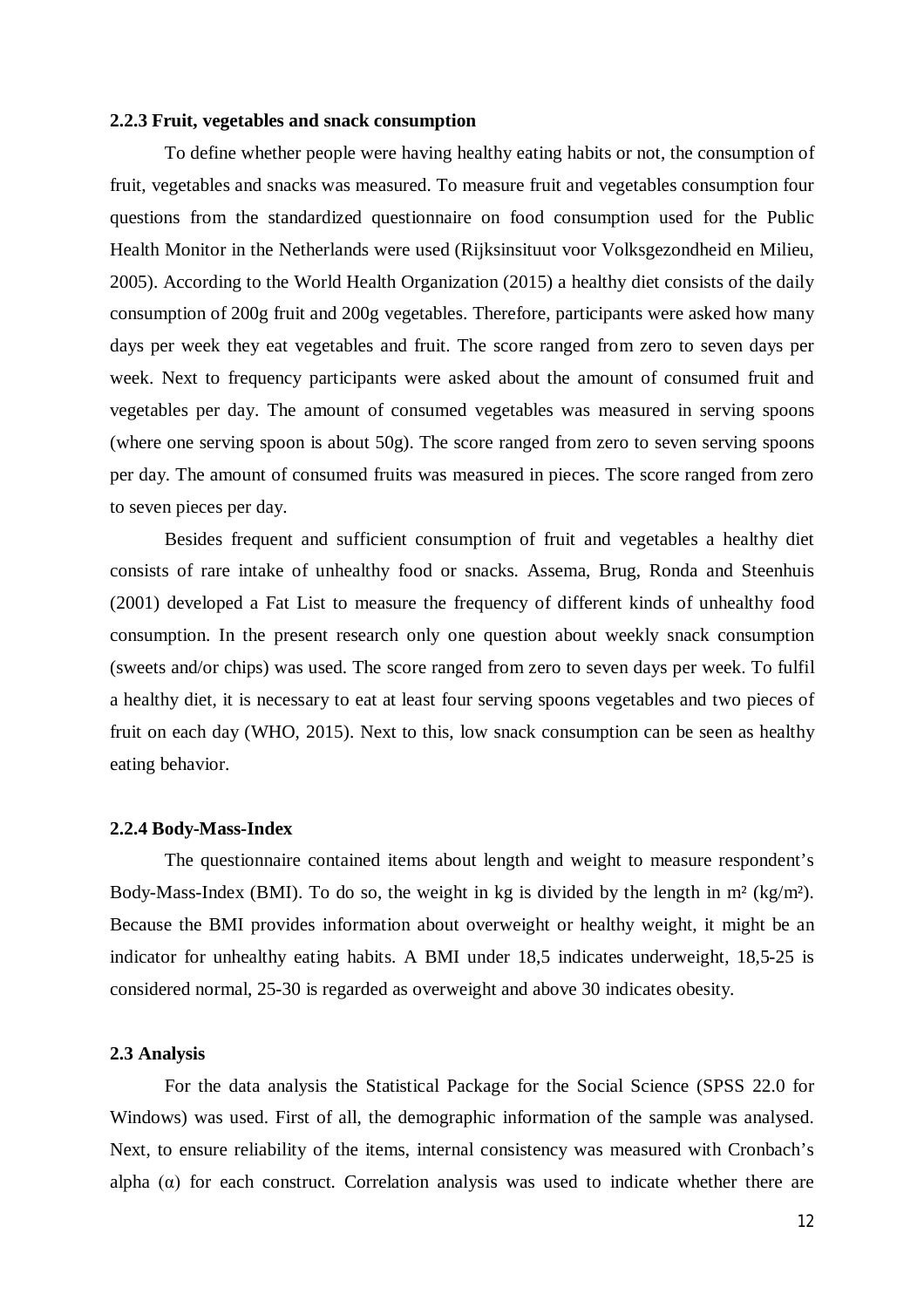## **2.2.3 Fruit, vegetables and snack consumption**

To define whether people were having healthy eating habits or not, the consumption of fruit, vegetables and snacks was measured. To measure fruit and vegetables consumption four questions from the standardized questionnaire on food consumption used for the Public Health Monitor in the Netherlands were used (Rijksinsituut voor Volksgezondheid en Milieu, 2005). According to the World Health Organization (2015) a healthy diet consists of the daily consumption of 200g fruit and 200g vegetables. Therefore, participants were asked how many days per week they eat vegetables and fruit. The score ranged from zero to seven days per week. Next to frequency participants were asked about the amount of consumed fruit and vegetables per day. The amount of consumed vegetables was measured in serving spoons (where one serving spoon is about 50g). The score ranged from zero to seven serving spoons per day. The amount of consumed fruits was measured in pieces. The score ranged from zero to seven pieces per day.

Besides frequent and sufficient consumption of fruit and vegetables a healthy diet consists of rare intake of unhealthy food or snacks. Assema, Brug, Ronda and Steenhuis (2001) developed a Fat List to measure the frequency of different kinds of unhealthy food consumption. In the present research only one question about weekly snack consumption (sweets and/or chips) was used. The score ranged from zero to seven days per week. To fulfil a healthy diet, it is necessary to eat at least four serving spoons vegetables and two pieces of fruit on each day (WHO, 2015). Next to this, low snack consumption can be seen as healthy eating behavior.

#### **2.2.4 Body-Mass-Index**

The questionnaire contained items about length and weight to measure respondent's Body-Mass-Index (BMI). To do so, the weight in kg is divided by the length in  $m^2$  (kg/m<sup>2</sup>). Because the BMI provides information about overweight or healthy weight, it might be an indicator for unhealthy eating habits. A BMI under 18,5 indicates underweight, 18,5-25 is considered normal, 25-30 is regarded as overweight and above 30 indicates obesity.

#### **2.3 Analysis**

For the data analysis the Statistical Package for the Social Science (SPSS 22.0 for Windows) was used. First of all, the demographic information of the sample was analysed. Next, to ensure reliability of the items, internal consistency was measured with Cronbach's alpha  $(\alpha)$  for each construct. Correlation analysis was used to indicate whether there are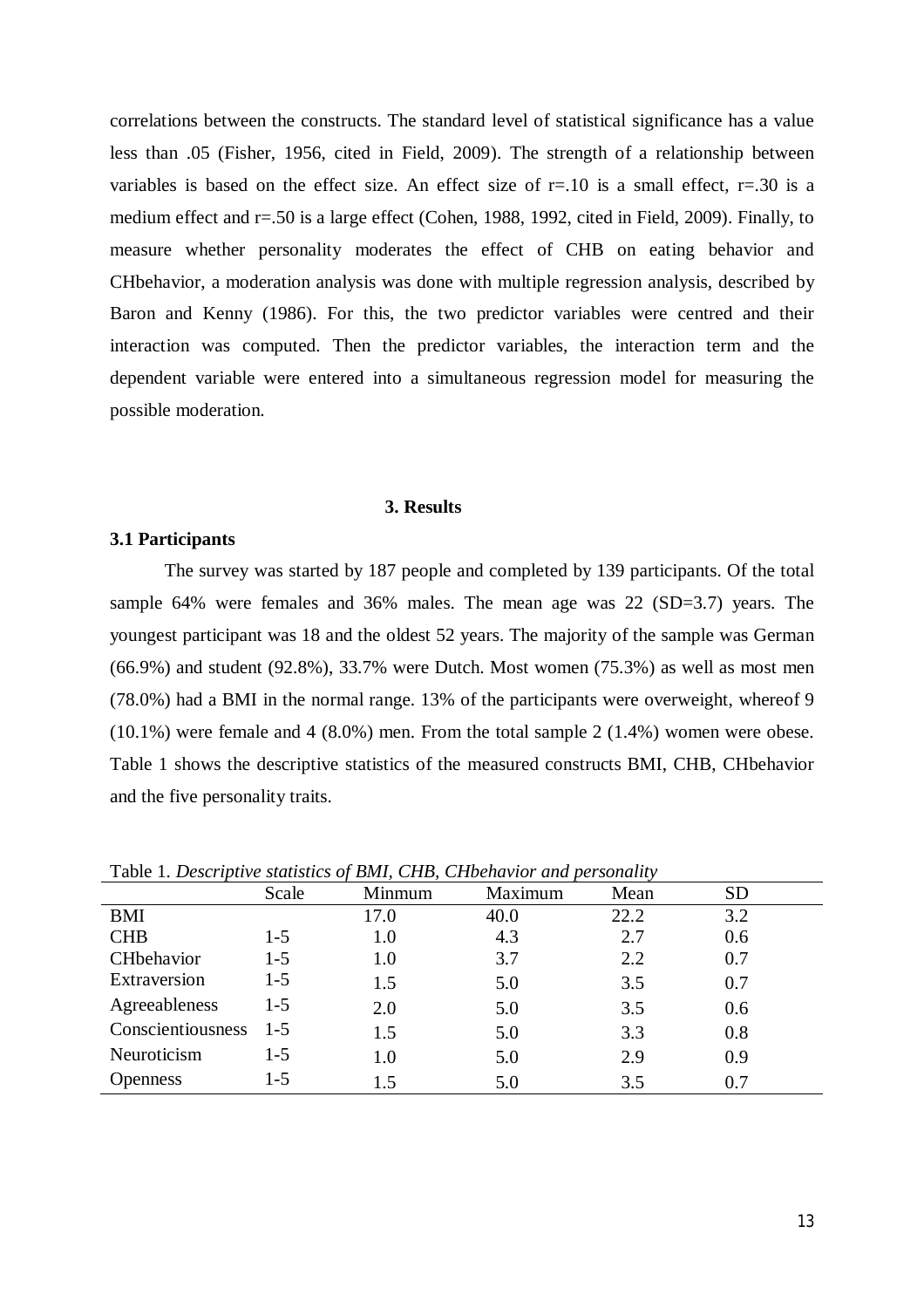correlations between the constructs. The standard level of statistical significance has a value less than .05 (Fisher, 1956, cited in Field, 2009). The strength of a relationship between variables is based on the effect size. An effect size of  $r=10$  is a small effect,  $r=.30$  is a medium effect and r=.50 is a large effect (Cohen, 1988, 1992, cited in Field, 2009). Finally, to measure whether personality moderates the effect of CHB on eating behavior and CHbehavior, a moderation analysis was done with multiple regression analysis, described by Baron and Kenny (1986). For this, the two predictor variables were centred and their interaction was computed. Then the predictor variables, the interaction term and the dependent variable were entered into a simultaneous regression model for measuring the possible moderation.

## **3. Results**

## **3.1 Participants**

The survey was started by 187 people and completed by 139 participants. Of the total sample 64% were females and 36% males. The mean age was 22 (SD=3.7) years. The youngest participant was 18 and the oldest 52 years. The majority of the sample was German (66.9%) and student (92.8%), 33.7% were Dutch. Most women (75.3%) as well as most men (78.0%) had a BMI in the normal range. 13% of the participants were overweight, whereof 9 (10.1%) were female and 4 (8.0%) men. From the total sample 2 (1.4%) women were obese. Table 1 shows the descriptive statistics of the measured constructs BMI, CHB, CHbehavior and the five personality traits.

| <b>Table 1. Descriptive statistics of DM1, C11D, C11Denavior and personality</b> | Scale   | Minmum | Maximum | Mean | <b>SD</b> |  |
|----------------------------------------------------------------------------------|---------|--------|---------|------|-----------|--|
| BMI                                                                              |         | 17.0   | 40.0    | 22.2 | 3.2       |  |
| <b>CHB</b>                                                                       | $1 - 5$ | 1.0    | 4.3     | 2.7  | 0.6       |  |
| CHbehavior                                                                       | $1-5$   | 1.0    | 3.7     | 2.2  | 0.7       |  |
| Extraversion                                                                     | $1-5$   | 1.5    | 5.0     | 3.5  | 0.7       |  |
| Agreeableness                                                                    | $1-5$   | 2.0    | 5.0     | 3.5  | 0.6       |  |
| Conscientiousness                                                                | $1 - 5$ | 1.5    | 5.0     | 3.3  | 0.8       |  |
| Neuroticism                                                                      | $1 - 5$ | 1.0    | 5.0     | 2.9  | 0.9       |  |
| <b>Openness</b>                                                                  | $1-5$   | 1.5    | 5.0     | 3.5  | 0.7       |  |

Table 1. *Descriptive statistics of BMI, CHB, CHbehavior and personality*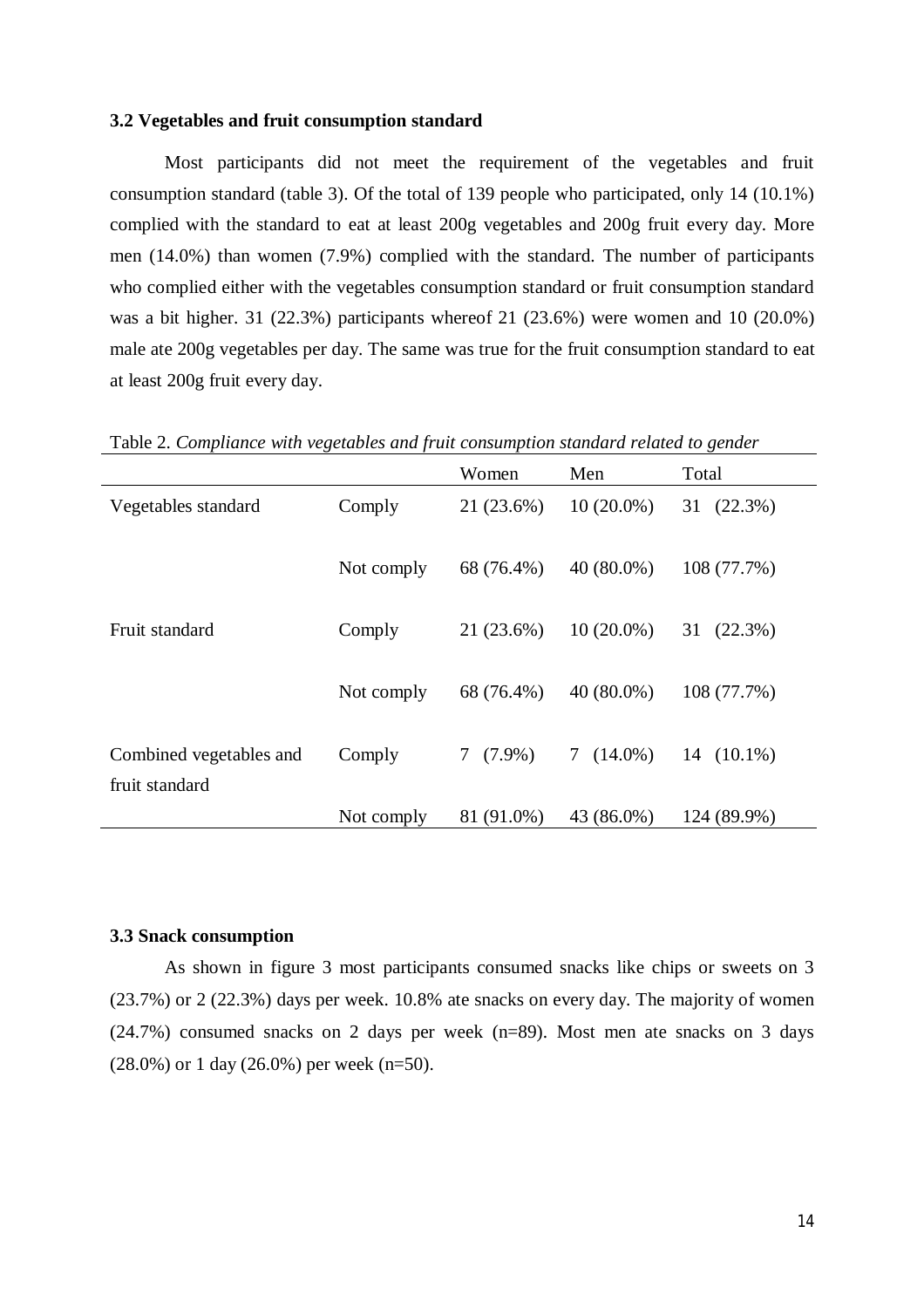## **3.2 Vegetables and fruit consumption standard**

Most participants did not meet the requirement of the vegetables and fruit consumption standard (table 3). Of the total of 139 people who participated, only 14 (10.1%) complied with the standard to eat at least 200g vegetables and 200g fruit every day. More men (14.0%) than women (7.9%) complied with the standard. The number of participants who complied either with the vegetables consumption standard or fruit consumption standard was a bit higher. 31 (22.3%) participants whereof 21 (23.6%) were women and 10 (20.0%) male ate 200g vegetables per day. The same was true for the fruit consumption standard to eat at least 200g fruit every day.

Women Men Total Vegetables standard Comply 21 (23.6%) 10 (20.0%) 31 (22.3%) Not comply 68 (76.4%) 40 (80.0%) 108 (77.7%) Fruit standard Comply 21 (23.6%) 10 (20.0%) 31 (22.3%) Not comply 68 (76.4%) 40 (80.0%) 108 (77.7%) Combined vegetables and fruit standard Comply 7 (7.9%) 7 (14.0%) 14 (10.1%) Not comply 81 (91.0%) 43 (86.0%) 124 (89.9%)

Table 2. *Compliance with vegetables and fruit consumption standard related to gender*

#### **3.3 Snack consumption**

As shown in figure 3 most participants consumed snacks like chips or sweets on 3 (23.7%) or 2 (22.3%) days per week. 10.8% ate snacks on every day. The majority of women (24.7%) consumed snacks on 2 days per week (n=89). Most men ate snacks on 3 days  $(28.0\%)$  or 1 day  $(26.0\%)$  per week (n=50).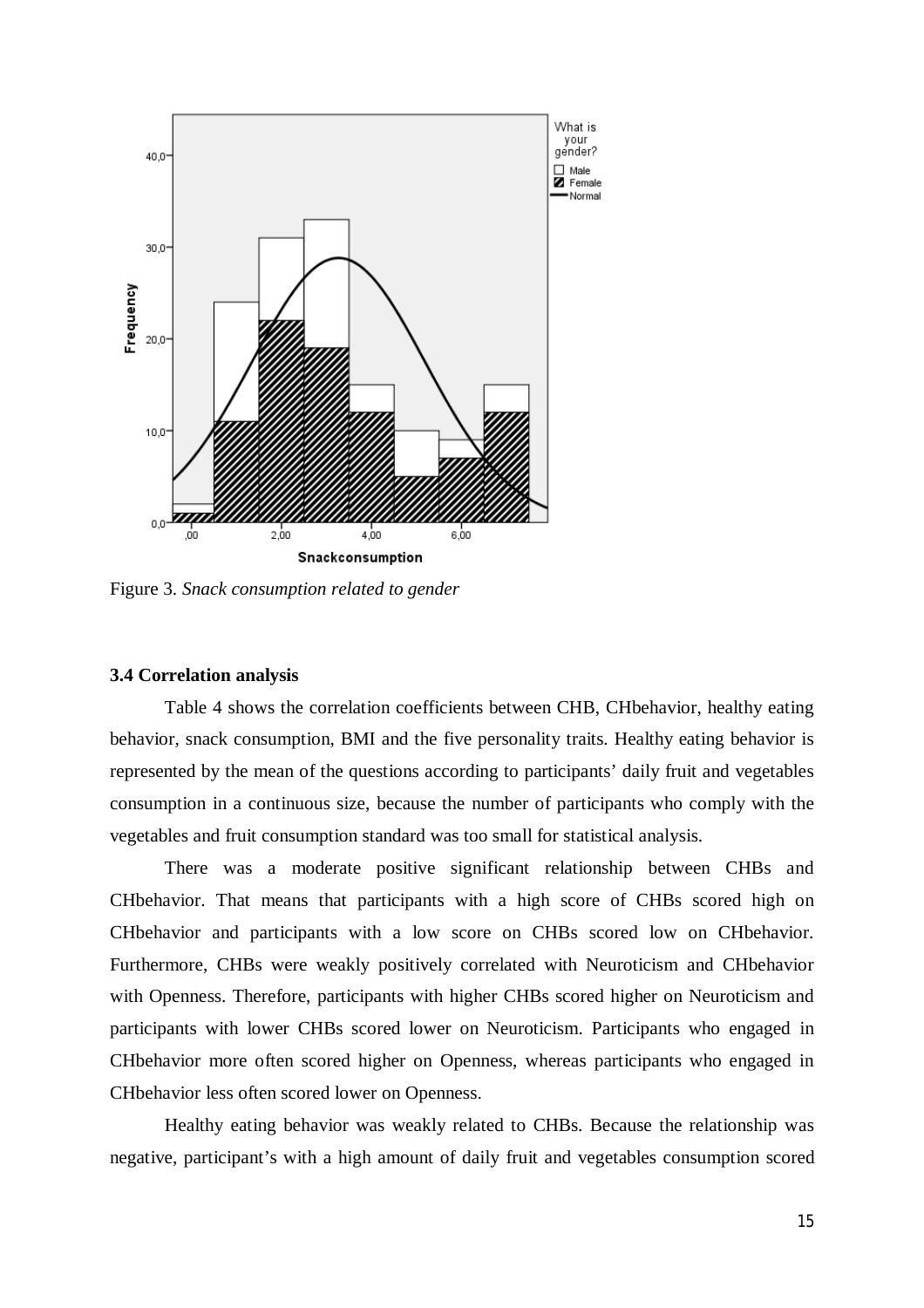

Figure 3. *Snack consumption related to gender*

## **3.4 Correlation analysis**

Table 4 shows the correlation coefficients between CHB, CHbehavior, healthy eating behavior, snack consumption, BMI and the five personality traits. Healthy eating behavior is represented by the mean of the questions according to participants' daily fruit and vegetables consumption in a continuous size, because the number of participants who comply with the vegetables and fruit consumption standard was too small for statistical analysis.

There was a moderate positive significant relationship between CHBs and CHbehavior. That means that participants with a high score of CHBs scored high on CHbehavior and participants with a low score on CHBs scored low on CHbehavior. Furthermore, CHBs were weakly positively correlated with Neuroticism and CHbehavior with Openness. Therefore, participants with higher CHBs scored higher on Neuroticism and participants with lower CHBs scored lower on Neuroticism. Participants who engaged in CHbehavior more often scored higher on Openness, whereas participants who engaged in CHbehavior less often scored lower on Openness.

Healthy eating behavior was weakly related to CHBs. Because the relationship was negative, participant's with a high amount of daily fruit and vegetables consumption scored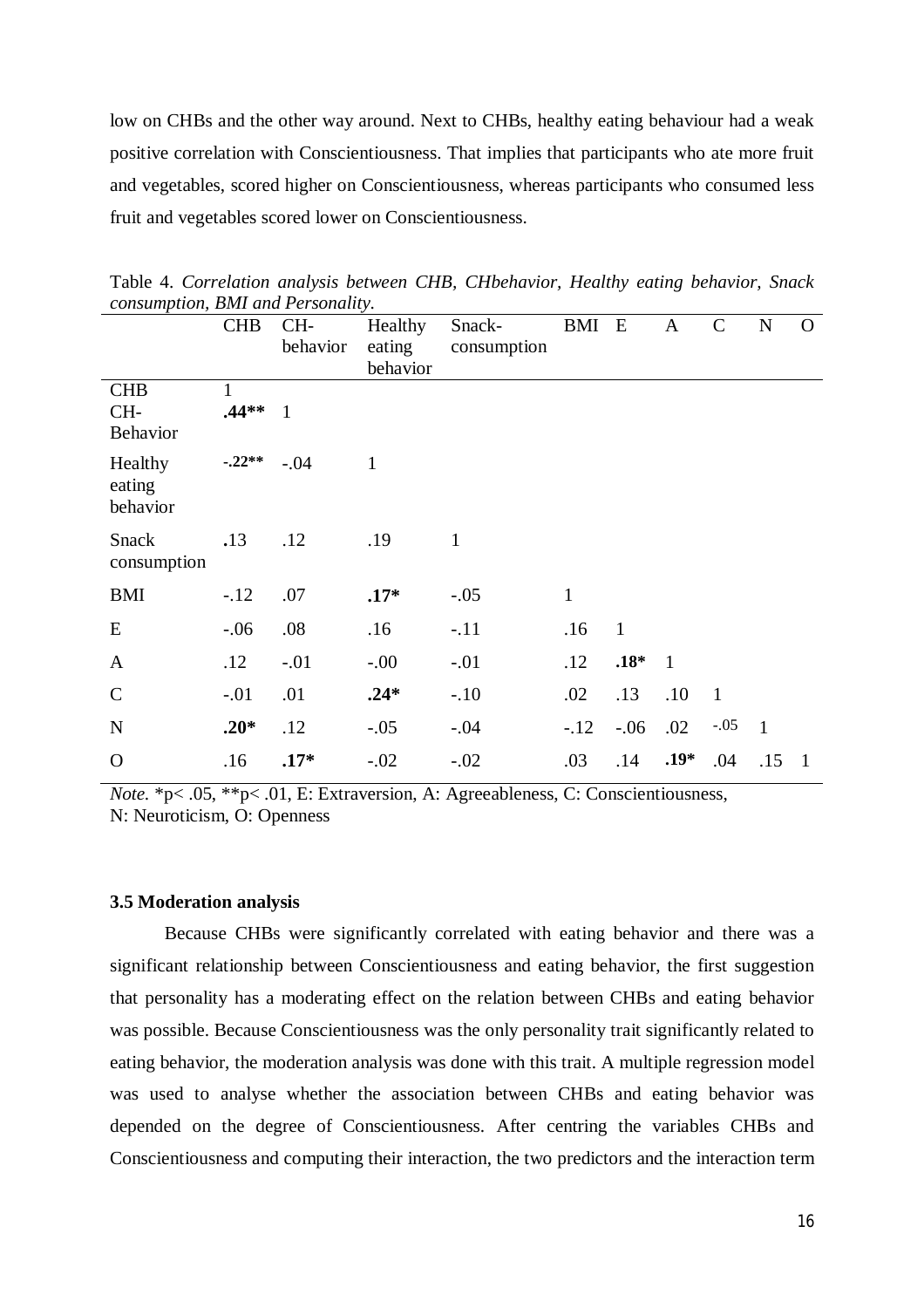low on CHBs and the other way around. Next to CHBs, healthy eating behaviour had a weak positive correlation with Conscientiousness. That implies that participants who ate more fruit and vegetables, scored higher on Conscientiousness, whereas participants who consumed less fruit and vegetables scored lower on Conscientiousness.

| ,                               | <b>CHB</b>               | $CH-$<br>behavior | Healthy<br>eating<br>behavior | Snack-<br>consumption | BMI E        |              | $\mathbf{A}$   | $\mathcal{C}$  | ${\bf N}$    | $\Omega$     |
|---------------------------------|--------------------------|-------------------|-------------------------------|-----------------------|--------------|--------------|----------------|----------------|--------------|--------------|
| <b>CHB</b><br>$CH-$<br>Behavior | $\mathbf{1}$<br>$.44**1$ |                   |                               |                       |              |              |                |                |              |              |
| Healthy<br>eating<br>behavior   | $-.22**$                 | $-.04$            | $\mathbf{1}$                  |                       |              |              |                |                |              |              |
| <b>Snack</b><br>consumption     | .13                      | .12               | .19                           | $\mathbf{1}$          |              |              |                |                |              |              |
| <b>BMI</b>                      | $-.12$                   | .07               | $.17*$                        | $-.05$                | $\mathbf{1}$ |              |                |                |              |              |
| E                               | $-.06$                   | .08               | .16                           | $-.11$                | .16          | $\mathbf{1}$ |                |                |              |              |
| $\mathbf{A}$                    | .12                      | $-.01$            | $-00.$                        | $-.01$                | .12          | $.18*$       | $\overline{1}$ |                |              |              |
| $\mathbf C$                     | $-.01$                   | .01               | $.24*$                        | $-.10$                | .02          | .13          | .10            | $\overline{1}$ |              |              |
| ${\bf N}$                       | $.20*$                   | .12               | $-.05$                        | $-.04$                | $-.12$       | $-.06$       | .02            | $-.05$         | $\mathbf{1}$ |              |
| $\mathbf O$                     | .16                      | $.17*$            | $-.02$                        | $-.02$                | .03          | .14          | $.19*$         | .04            | .15          | $\mathbf{1}$ |

Table 4. *Correlation analysis between CHB, CHbehavior, Healthy eating behavior, Snack consumption, BMI and Personality.*

*Note.* \*p< .05, \*\*p< .01, E: Extraversion, A: Agreeableness, C: Conscientiousness, N: Neuroticism, O: Openness

## **3.5 Moderation analysis**

Because CHBs were significantly correlated with eating behavior and there was a significant relationship between Conscientiousness and eating behavior, the first suggestion that personality has a moderating effect on the relation between CHBs and eating behavior was possible. Because Conscientiousness was the only personality trait significantly related to eating behavior, the moderation analysis was done with this trait. A multiple regression model was used to analyse whether the association between CHBs and eating behavior was depended on the degree of Conscientiousness. After centring the variables CHBs and Conscientiousness and computing their interaction, the two predictors and the interaction term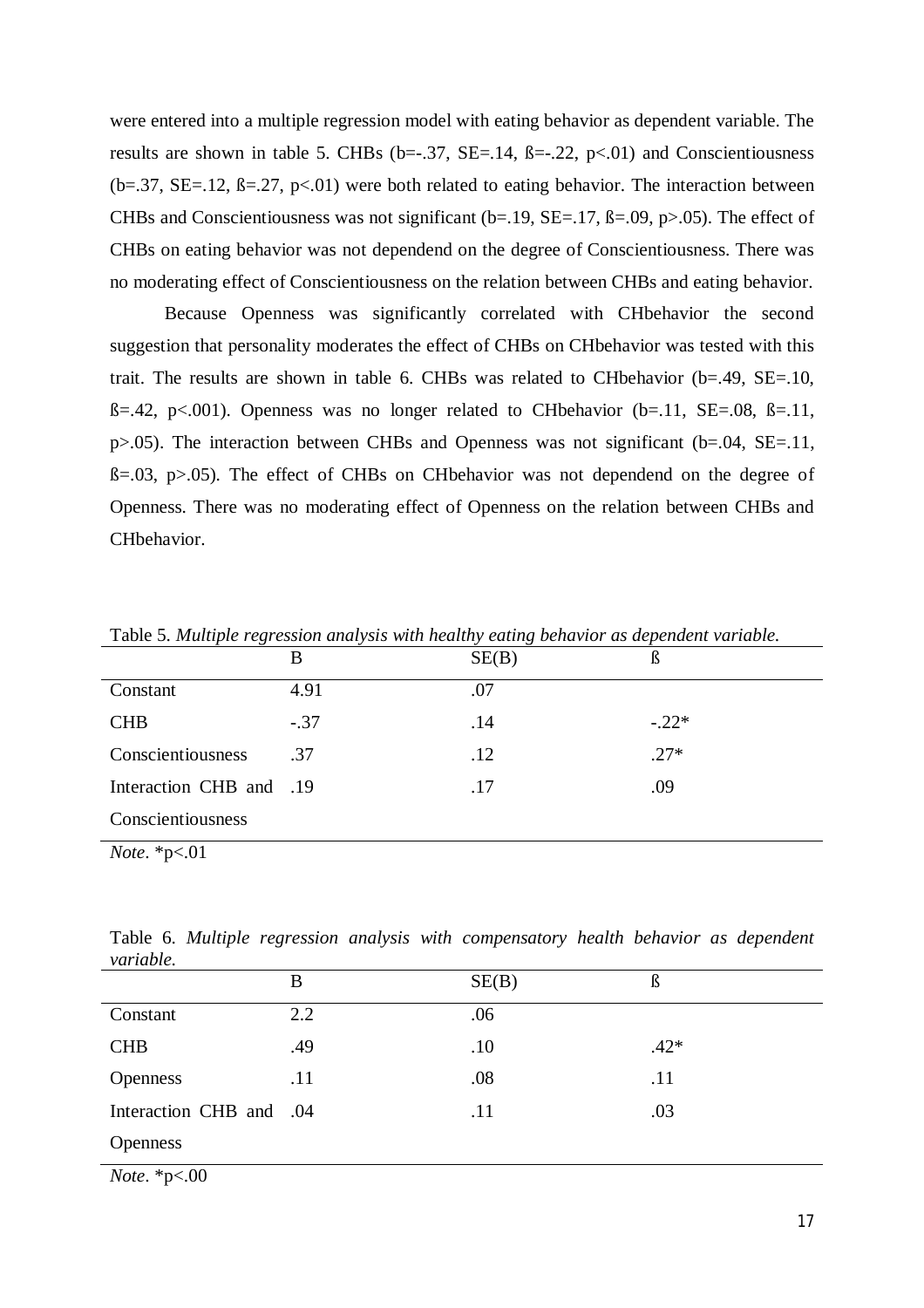were entered into a multiple regression model with eating behavior as dependent variable. The results are shown in table 5. CHBs (b= $-0.37$ , SE= $-0.14$ ,  $\beta = -0.22$ , p<0.01) and Conscientiousness  $(b=.37, SE=.12, B=.27, p<.01)$  were both related to eating behavior. The interaction between CHBs and Conscientiousness was not significant ( $b=19$ ,  $SE=.17$ ,  $\beta=.09$ ,  $p>0.05$ ). The effect of CHBs on eating behavior was not dependend on the degree of Conscientiousness. There was no moderating effect of Conscientiousness on the relation between CHBs and eating behavior.

Because Openness was significantly correlated with CHbehavior the second suggestion that personality moderates the effect of CHBs on CHbehavior was tested with this trait. The results are shown in table 6. CHBs was related to CHbehavior (b=.49, SE=.10,  $B=.42$ , p<.001). Openness was no longer related to CHbehavior (b=.11, SE=.08,  $B=.11$ , p>.05). The interaction between CHBs and Openness was not significant (b=.04, SE=.11,  $B=.03$ ,  $p>.05$ ). The effect of CHBs on CHbehavior was not dependend on the degree of Openness. There was no moderating effect of Openness on the relation between CHBs and CHbehavior.

|                         | B      | SE(B) | ß       |
|-------------------------|--------|-------|---------|
| Constant                | 4.91   | .07   |         |
| <b>CHB</b>              | $-.37$ | .14   | $-.22*$ |
| Conscientiousness       | .37    | .12   | $.27*$  |
| Interaction CHB and .19 |        | .17   | .09     |
| Conscientiousness       |        |       |         |
|                         |        |       |         |

Table 5. *Multiple regression analysis with healthy eating behavior as dependent variable.*

*Note*. \*p<.01

Table 6. *Multiple regression analysis with compensatory health behavior as dependent variable.*

|                         | B   | SE(B) | ß      |
|-------------------------|-----|-------|--------|
| Constant                | 2.2 | .06   |        |
| <b>CHB</b>              | .49 | .10   | $.42*$ |
| <b>Openness</b>         | .11 | .08   | .11    |
| Interaction CHB and .04 |     | .11   | .03    |
| <b>Openness</b>         |     |       |        |

*Note*. \*p<.00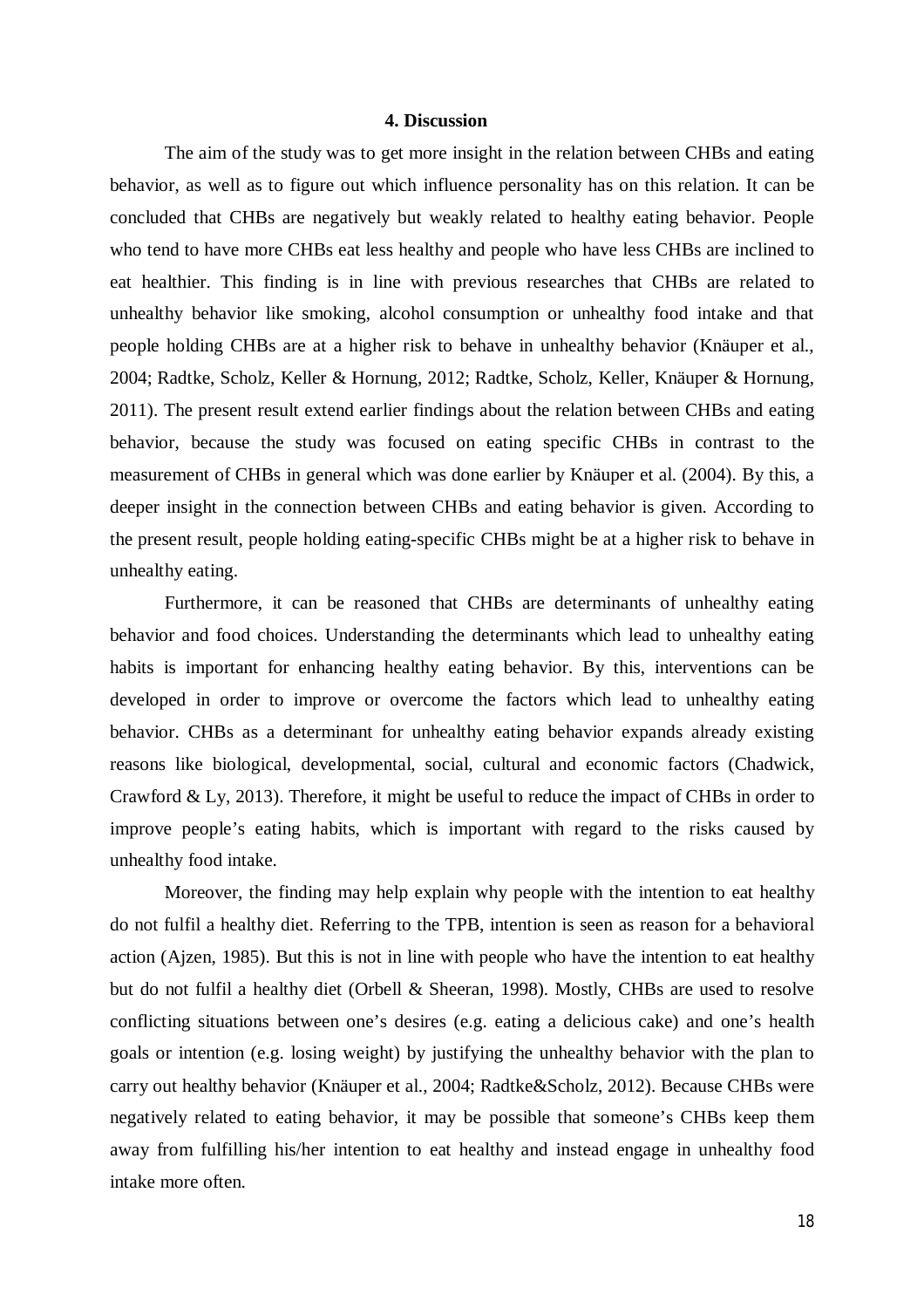### **4. Discussion**

The aim of the study was to get more insight in the relation between CHBs and eating behavior, as well as to figure out which influence personality has on this relation. It can be concluded that CHBs are negatively but weakly related to healthy eating behavior. People who tend to have more CHBs eat less healthy and people who have less CHBs are inclined to eat healthier. This finding is in line with previous researches that CHBs are related to unhealthy behavior like smoking, alcohol consumption or unhealthy food intake and that people holding CHBs are at a higher risk to behave in unhealthy behavior (Knäuper et al., 2004; Radtke, Scholz, Keller & Hornung, 2012; Radtke, Scholz, Keller, Knäuper & Hornung, 2011). The present result extend earlier findings about the relation between CHBs and eating behavior, because the study was focused on eating specific CHBs in contrast to the measurement of CHBs in general which was done earlier by Knäuper et al. (2004). By this, a deeper insight in the connection between CHBs and eating behavior is given. According to the present result, people holding eating-specific CHBs might be at a higher risk to behave in unhealthy eating.

Furthermore, it can be reasoned that CHBs are determinants of unhealthy eating behavior and food choices. Understanding the determinants which lead to unhealthy eating habits is important for enhancing healthy eating behavior. By this, interventions can be developed in order to improve or overcome the factors which lead to unhealthy eating behavior. CHBs as a determinant for unhealthy eating behavior expands already existing reasons like biological, developmental, social, cultural and economic factors (Chadwick, Crawford & Ly, 2013). Therefore, it might be useful to reduce the impact of CHBs in order to improve people's eating habits, which is important with regard to the risks caused by unhealthy food intake.

Moreover, the finding may help explain why people with the intention to eat healthy do not fulfil a healthy diet. Referring to the TPB, intention is seen as reason for a behavioral action (Ajzen, 1985). But this is not in line with people who have the intention to eat healthy but do not fulfil a healthy diet (Orbell & Sheeran, 1998). Mostly, CHBs are used to resolve conflicting situations between one's desires (e.g. eating a delicious cake) and one's health goals or intention (e.g. losing weight) by justifying the unhealthy behavior with the plan to carry out healthy behavior (Knäuper et al., 2004; Radtke&Scholz, 2012). Because CHBs were negatively related to eating behavior, it may be possible that someone's CHBs keep them away from fulfilling his/her intention to eat healthy and instead engage in unhealthy food intake more often.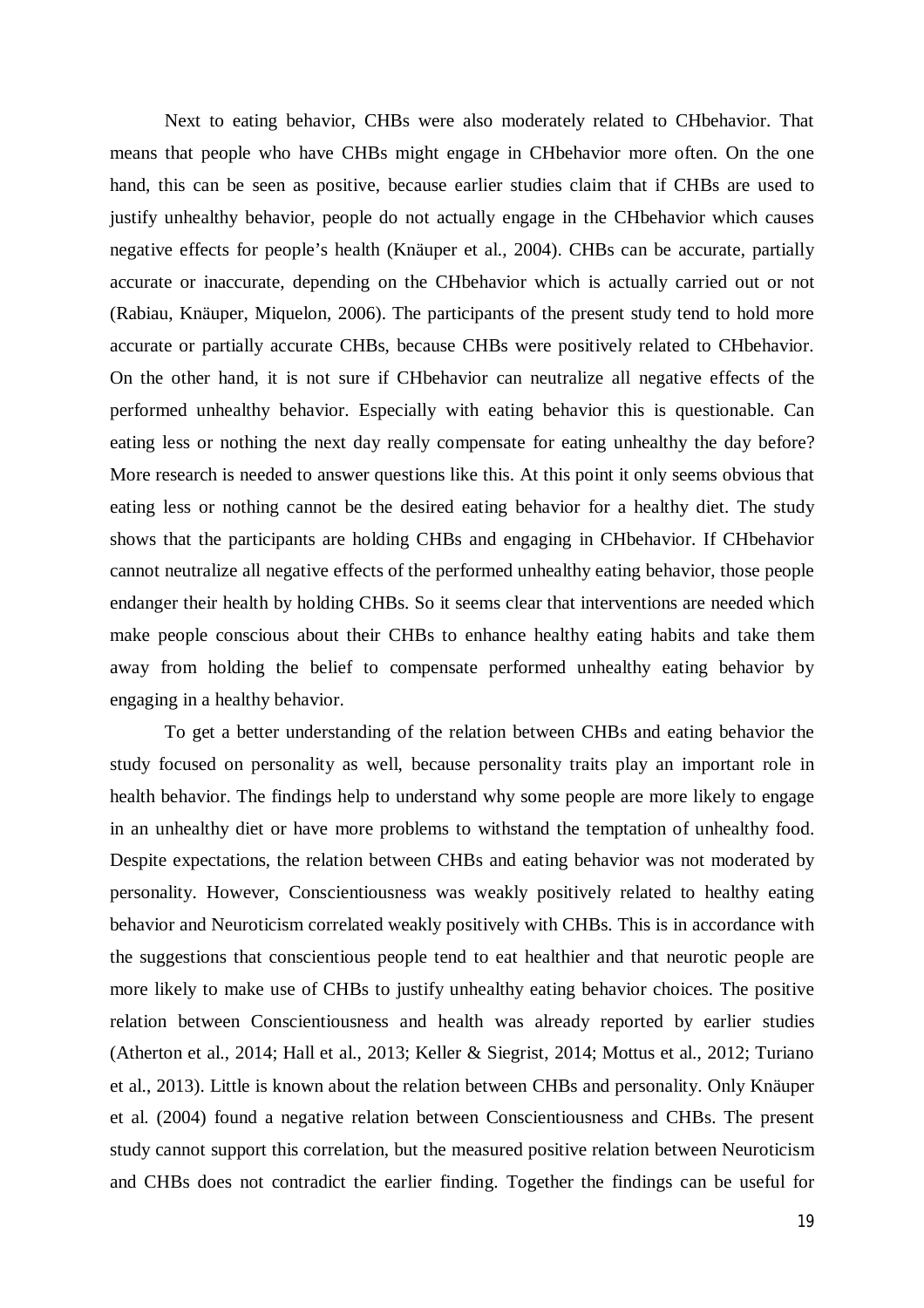Next to eating behavior, CHBs were also moderately related to CHbehavior. That means that people who have CHBs might engage in CHbehavior more often. On the one hand, this can be seen as positive, because earlier studies claim that if CHBs are used to justify unhealthy behavior, people do not actually engage in the CHbehavior which causes negative effects for people's health (Knäuper et al., 2004). CHBs can be accurate, partially accurate or inaccurate, depending on the CHbehavior which is actually carried out or not (Rabiau, Knäuper, Miquelon, 2006). The participants of the present study tend to hold more accurate or partially accurate CHBs, because CHBs were positively related to CHbehavior. On the other hand, it is not sure if CHbehavior can neutralize all negative effects of the performed unhealthy behavior. Especially with eating behavior this is questionable. Can eating less or nothing the next day really compensate for eating unhealthy the day before? More research is needed to answer questions like this. At this point it only seems obvious that eating less or nothing cannot be the desired eating behavior for a healthy diet. The study shows that the participants are holding CHBs and engaging in CHbehavior. If CHbehavior cannot neutralize all negative effects of the performed unhealthy eating behavior, those people endanger their health by holding CHBs. So it seems clear that interventions are needed which make people conscious about their CHBs to enhance healthy eating habits and take them away from holding the belief to compensate performed unhealthy eating behavior by engaging in a healthy behavior.

To get a better understanding of the relation between CHBs and eating behavior the study focused on personality as well, because personality traits play an important role in health behavior. The findings help to understand why some people are more likely to engage in an unhealthy diet or have more problems to withstand the temptation of unhealthy food. Despite expectations, the relation between CHBs and eating behavior was not moderated by personality. However, Conscientiousness was weakly positively related to healthy eating behavior and Neuroticism correlated weakly positively with CHBs. This is in accordance with the suggestions that conscientious people tend to eat healthier and that neurotic people are more likely to make use of CHBs to justify unhealthy eating behavior choices. The positive relation between Conscientiousness and health was already reported by earlier studies (Atherton et al., 2014; Hall et al., 2013; Keller & Siegrist, 2014; Mottus et al., 2012; Turiano et al., 2013). Little is known about the relation between CHBs and personality. Only Knäuper et al. (2004) found a negative relation between Conscientiousness and CHBs. The present study cannot support this correlation, but the measured positive relation between Neuroticism and CHBs does not contradict the earlier finding. Together the findings can be useful for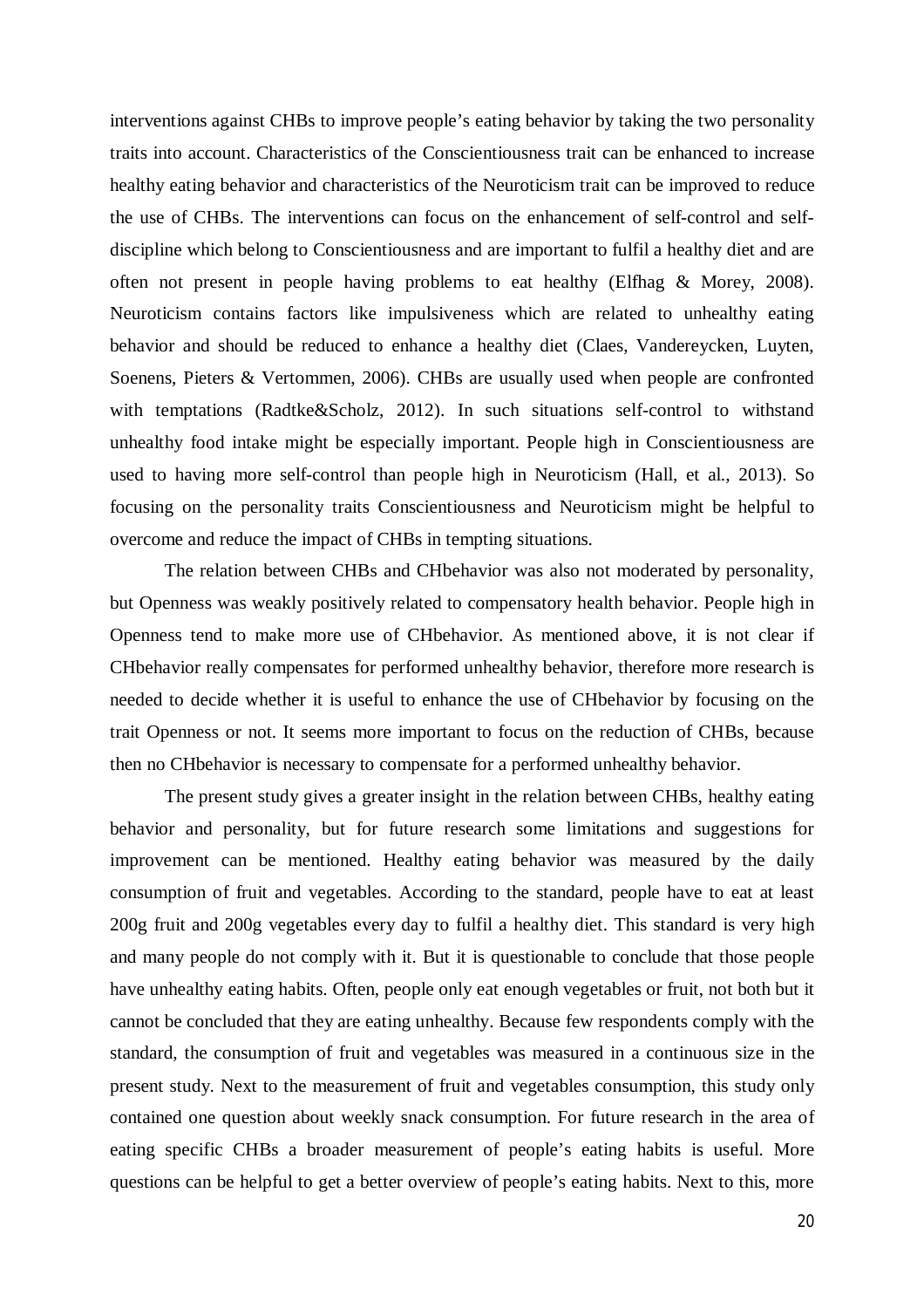interventions against CHBs to improve people's eating behavior by taking the two personality traits into account. Characteristics of the Conscientiousness trait can be enhanced to increase healthy eating behavior and characteristics of the Neuroticism trait can be improved to reduce the use of CHBs. The interventions can focus on the enhancement of self-control and selfdiscipline which belong to Conscientiousness and are important to fulfil a healthy diet and are often not present in people having problems to eat healthy (Elfhag & Morey, 2008). Neuroticism contains factors like impulsiveness which are related to unhealthy eating behavior and should be reduced to enhance a healthy diet (Claes, Vandereycken, Luyten, Soenens, Pieters & Vertommen, 2006). CHBs are usually used when people are confronted with temptations (Radtke&Scholz, 2012). In such situations self-control to withstand unhealthy food intake might be especially important. People high in Conscientiousness are used to having more self-control than people high in Neuroticism (Hall, et al., 2013). So focusing on the personality traits Conscientiousness and Neuroticism might be helpful to overcome and reduce the impact of CHBs in tempting situations.

The relation between CHBs and CHbehavior was also not moderated by personality, but Openness was weakly positively related to compensatory health behavior. People high in Openness tend to make more use of CHbehavior. As mentioned above, it is not clear if CHbehavior really compensates for performed unhealthy behavior, therefore more research is needed to decide whether it is useful to enhance the use of CHbehavior by focusing on the trait Openness or not. It seems more important to focus on the reduction of CHBs, because then no CHbehavior is necessary to compensate for a performed unhealthy behavior.

The present study gives a greater insight in the relation between CHBs, healthy eating behavior and personality, but for future research some limitations and suggestions for improvement can be mentioned. Healthy eating behavior was measured by the daily consumption of fruit and vegetables. According to the standard, people have to eat at least 200g fruit and 200g vegetables every day to fulfil a healthy diet. This standard is very high and many people do not comply with it. But it is questionable to conclude that those people have unhealthy eating habits. Often, people only eat enough vegetables or fruit, not both but it cannot be concluded that they are eating unhealthy. Because few respondents comply with the standard, the consumption of fruit and vegetables was measured in a continuous size in the present study. Next to the measurement of fruit and vegetables consumption, this study only contained one question about weekly snack consumption. For future research in the area of eating specific CHBs a broader measurement of people's eating habits is useful. More questions can be helpful to get a better overview of people's eating habits. Next to this, more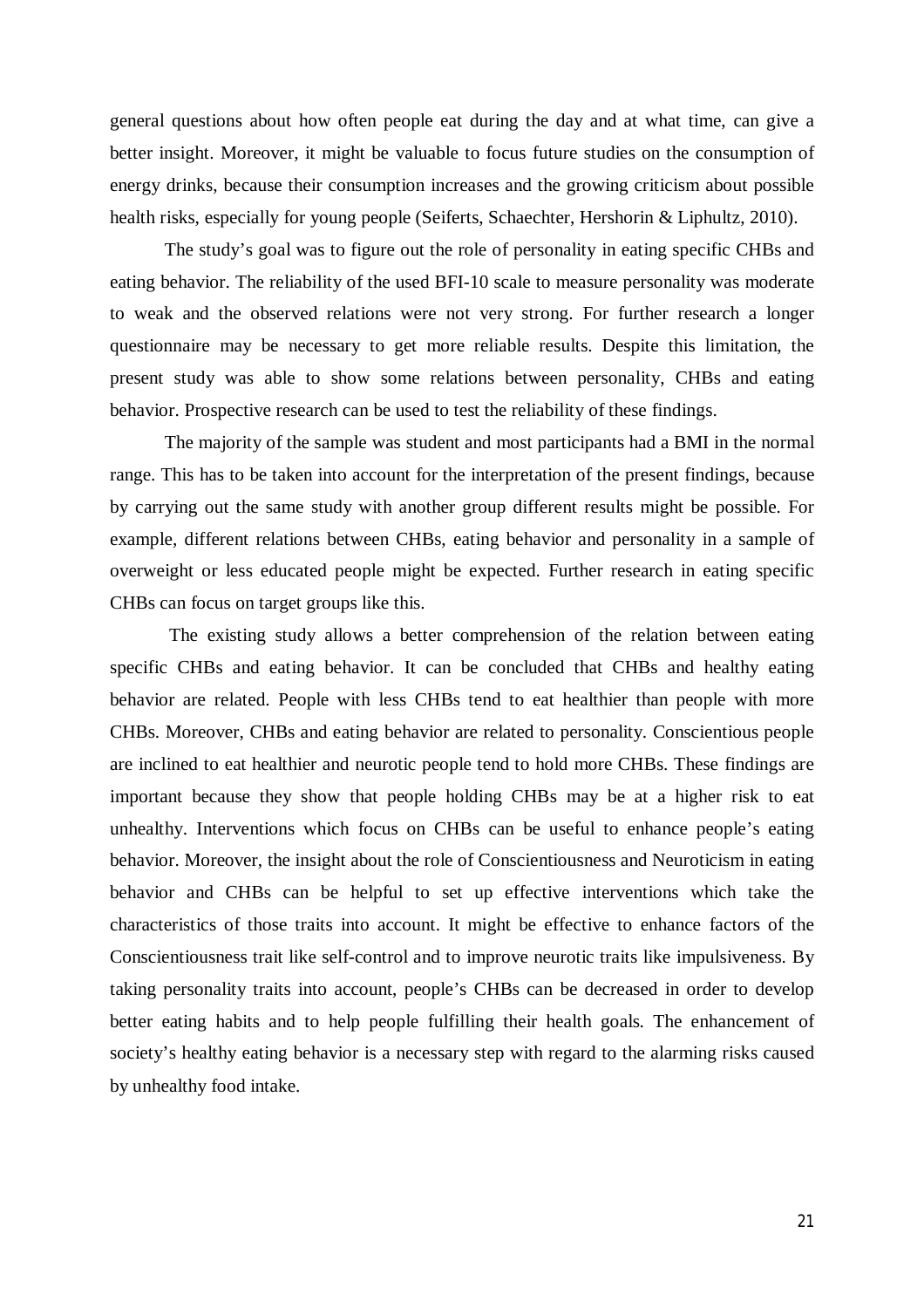general questions about how often people eat during the day and at what time, can give a better insight. Moreover, it might be valuable to focus future studies on the consumption of energy drinks, because their consumption increases and the growing criticism about possible health risks, especially for young people (Seiferts, Schaechter, Hershorin & Liphultz, 2010).

The study's goal was to figure out the role of personality in eating specific CHBs and eating behavior. The reliability of the used BFI-10 scale to measure personality was moderate to weak and the observed relations were not very strong. For further research a longer questionnaire may be necessary to get more reliable results. Despite this limitation, the present study was able to show some relations between personality, CHBs and eating behavior. Prospective research can be used to test the reliability of these findings.

The majority of the sample was student and most participants had a BMI in the normal range. This has to be taken into account for the interpretation of the present findings, because by carrying out the same study with another group different results might be possible. For example, different relations between CHBs, eating behavior and personality in a sample of overweight or less educated people might be expected. Further research in eating specific CHBs can focus on target groups like this.

The existing study allows a better comprehension of the relation between eating specific CHBs and eating behavior. It can be concluded that CHBs and healthy eating behavior are related. People with less CHBs tend to eat healthier than people with more CHBs. Moreover, CHBs and eating behavior are related to personality. Conscientious people are inclined to eat healthier and neurotic people tend to hold more CHBs. These findings are important because they show that people holding CHBs may be at a higher risk to eat unhealthy. Interventions which focus on CHBs can be useful to enhance people's eating behavior. Moreover, the insight about the role of Conscientiousness and Neuroticism in eating behavior and CHBs can be helpful to set up effective interventions which take the characteristics of those traits into account. It might be effective to enhance factors of the Conscientiousness trait like self-control and to improve neurotic traits like impulsiveness. By taking personality traits into account, people's CHBs can be decreased in order to develop better eating habits and to help people fulfilling their health goals. The enhancement of society's healthy eating behavior is a necessary step with regard to the alarming risks caused by unhealthy food intake.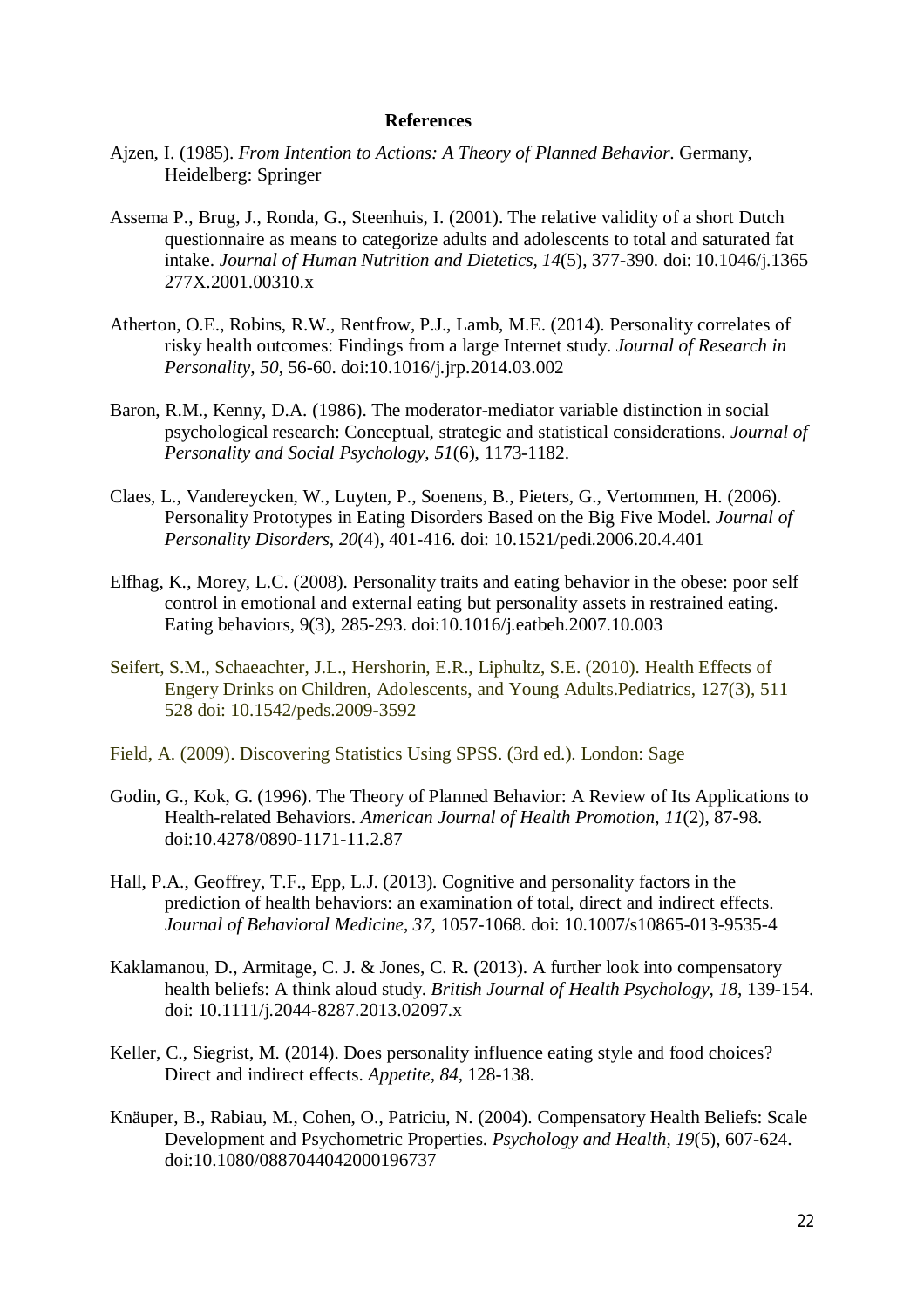#### **References**

- Ajzen, I. (1985). *From Intention to Actions: A Theory of Planned Behavior*. Germany, Heidelberg: Springer
- Assema P., Brug, J., Ronda, G., Steenhuis, I. (2001). The relative validity of a short Dutch questionnaire as means to categorize adults and adolescents to total and saturated fat intake. *Journal of Human Nutrition and Dietetics, 14*(5), 377-390. doi: 10.1046/j.1365 277X.2001.00310.x
- Atherton, O.E., Robins, R.W., Rentfrow, P.J., Lamb, M.E. (2014). Personality correlates of risky health outcomes: Findings from a large Internet study. *Journal of Research in Personality, 50*, 56-60. doi:10.1016/j.jrp.2014.03.002
- Baron, R.M., Kenny, D.A. (1986). The moderator-mediator variable distinction in social psychological research: Conceptual, strategic and statistical considerations. *Journal of Personality and Social Psychology, 51*(6), 1173-1182.
- Claes, L., Vandereycken, W., Luyten, P., Soenens, B., Pieters, G., Vertommen, H. (2006). Personality Prototypes in Eating Disorders Based on the Big Five Model. *Journal of Personality Disorders, 20*(4), 401-416. doi: 10.1521/pedi.2006.20.4.401
- Elfhag, K., Morey, L.C. (2008). Personality traits and eating behavior in the obese: poor self control in emotional and external eating but personality assets in restrained eating. Eating behaviors, 9(3), 285-293. doi:10.1016/j.eatbeh.2007.10.003
- Seifert, S.M., Schaeachter, J.L., Hershorin, E.R., Liphultz, S.E. (2010). Health Effects of Engery Drinks on Children, Adolescents, and Young Adults.Pediatrics, 127(3), 511 528 doi: 10.1542/peds.2009-3592
- Field, A. (2009). Discovering Statistics Using SPSS. (3rd ed.). London: Sage
- Godin, G., Kok, G. (1996). The Theory of Planned Behavior: A Review of Its Applications to Health-related Behaviors. *American Journal of Health Promotion, 11*(2), 87-98. doi:10.4278/0890-1171-11.2.87
- Hall, P.A., Geoffrey, T.F., Epp, L.J. (2013). Cognitive and personality factors in the prediction of health behaviors: an examination of total, direct and indirect effects. *Journal of Behavioral Medicine*, *37*, 1057-1068. doi: 10.1007/s10865-013-9535-4
- Kaklamanou, D., Armitage, C. J. & Jones, C. R. (2013). A further look into compensatory health beliefs: A think aloud study. *British Journal of Health Psychology, 18*, 139-154. doi: 10.1111/j.2044-8287.2013.02097.x
- Keller, C., Siegrist, M. (2014). Does personality influence eating style and food choices? Direct and indirect effects. *Appetite, 84,* 128-138.
- Knäuper, B., Rabiau, M., Cohen, O., Patriciu, N. (2004). Compensatory Health Beliefs: Scale Development and Psychometric Properties. *Psychology and Health, 19*(5), 607-624. doi:10.1080/0887044042000196737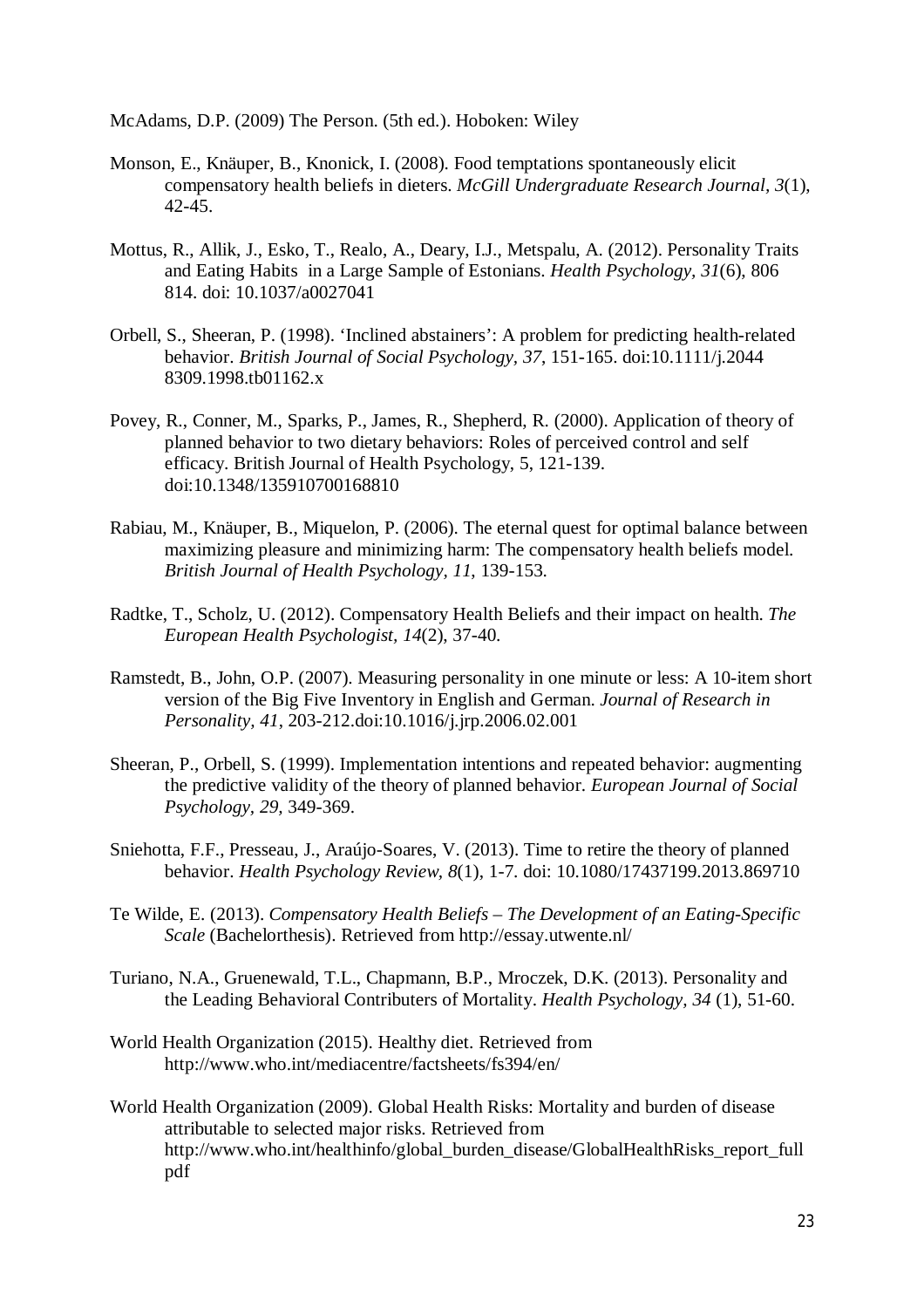McAdams, D.P. (2009) The Person. (5th ed.). Hoboken: Wiley

- Monson, E., Knäuper, B., Knonick, I. (2008). Food temptations spontaneously elicit compensatory health beliefs in dieters. *McGill Undergraduate Research Journal, 3*(1), 42-45.
- Mottus, R., Allik, J., Esko, T., Realo, A., Deary, I.J., Metspalu, A. (2012). Personality Traits and Eating Habits in a Large Sample of Estonians. *Health Psychology, 31*(6), 806 814. doi: 10.1037/a0027041
- Orbell, S., Sheeran, P. (1998). 'Inclined abstainers': A problem for predicting health-related behavior. *British Journal of Social Psychology, 37*, 151-165. doi:10.1111/j.2044 8309.1998.tb01162.x
- Povey, R., Conner, M., Sparks, P., James, R., Shepherd, R. (2000). Application of theory of planned behavior to two dietary behaviors: Roles of perceived control and self efficacy. British Journal of Health Psychology, 5, 121-139. doi:10.1348/135910700168810
- Rabiau, M., Knäuper, B., Miquelon, P. (2006). The eternal quest for optimal balance between maximizing pleasure and minimizing harm: The compensatory health beliefs model. *British Journal of Health Psychology, 11*, 139-153.
- Radtke, T., Scholz, U. (2012). Compensatory Health Beliefs and their impact on health. *The European Health Psychologist, 14*(2), 37-40.
- Ramstedt, B., John, O.P. (2007). Measuring personality in one minute or less: A 10-item short version of the Big Five Inventory in English and German. *Journal of Research in Personality, 41*, 203-212.doi:10.1016/j.jrp.2006.02.001
- Sheeran, P., Orbell, S. (1999). Implementation intentions and repeated behavior: augmenting the predictive validity of the theory of planned behavior. *European Journal of Social Psychology, 29,* 349-369.
- Sniehotta, F.F., Presseau, J., Araújo-Soares, V. (2013). Time to retire the theory of planned behavior. *Health Psychology Review, 8*(1), 1-7. doi: 10.1080/17437199.2013.869710
- Te Wilde, E. (2013). *Compensatory Health Beliefs – The Development of an Eating-Specific Scale* (Bachelorthesis). Retrieved from http://essay.utwente.nl/
- Turiano, N.A., Gruenewald, T.L., Chapmann, B.P., Mroczek, D.K. (2013). Personality and the Leading Behavioral Contributers of Mortality. *Health Psychology, 34* (1), 51-60.
- World Health Organization (2015). Healthy diet. Retrieved from http://www.who.int/mediacentre/factsheets/fs394/en/
- World Health Organization (2009). Global Health Risks: Mortality and burden of disease attributable to selected major risks. Retrieved from http://www.who.int/healthinfo/global\_burden\_disease/GlobalHealthRisks\_report\_full pdf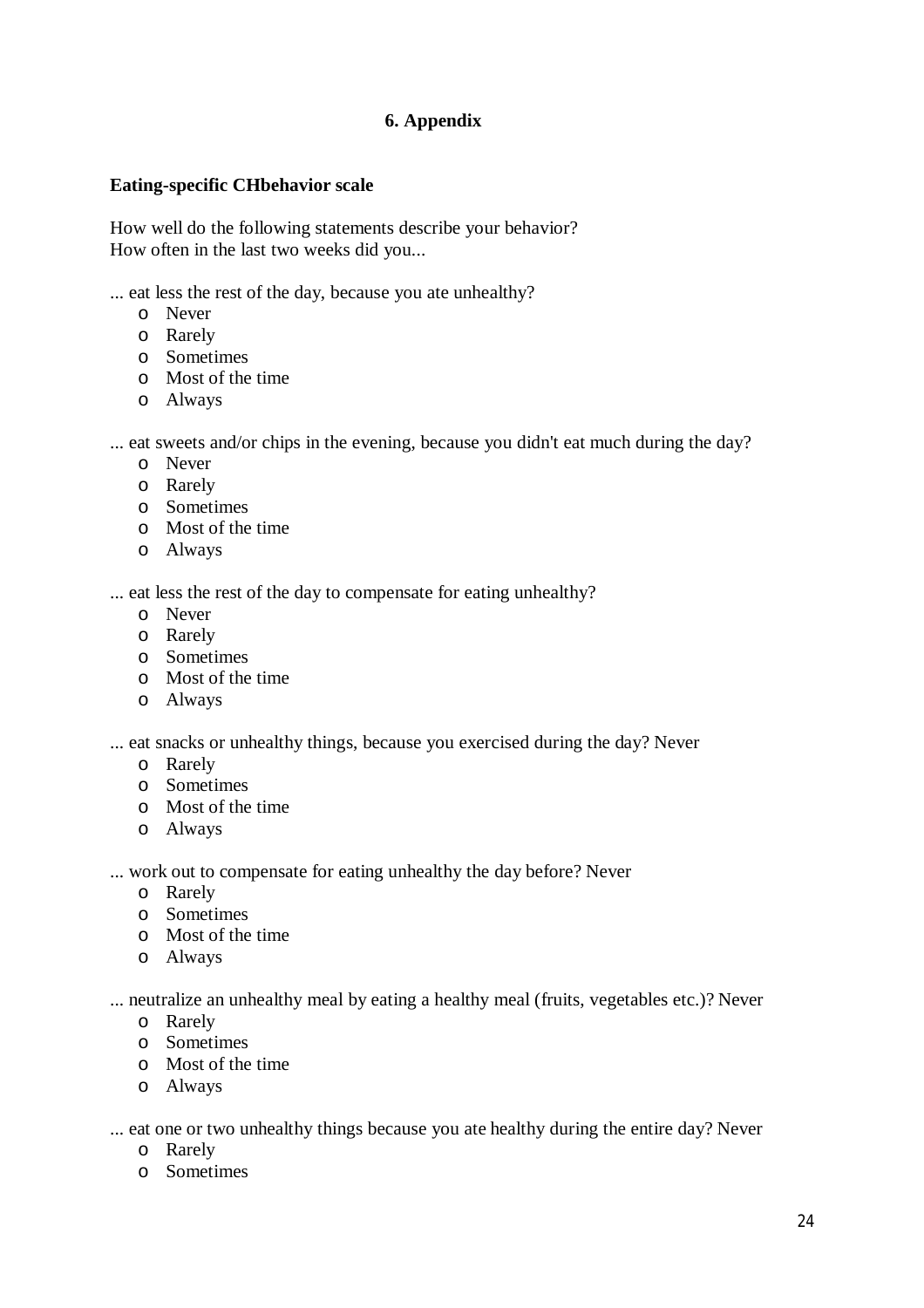# **6. Appendix**

## **Eating-specific CHbehavior scale**

How well do the following statements describe your behavior? How often in the last two weeks did you...

... eat less the rest of the day, because you ate unhealthy?

- o Never
- o Rarely
- o Sometimes
- o Most of the time
- o Always

... eat sweets and/or chips in the evening, because you didn't eat much during the day?

- o Never
- o Rarely
- o Sometimes
- o Most of the time
- o Always

... eat less the rest of the day to compensate for eating unhealthy?

- o Never
- o Rarely
- o Sometimes
- o Most of the time
- o Always

... eat snacks or unhealthy things, because you exercised during the day? Never

- o Rarely
- o Sometimes
- o Most of the time
- o Always

... work out to compensate for eating unhealthy the day before? Never

- o Rarely
- o Sometimes
- o Most of the time
- o Always

... neutralize an unhealthy meal by eating a healthy meal (fruits, vegetables etc.)? Never

- o Rarely
- o Sometimes
- o Most of the time
- o Always

... eat one or two unhealthy things because you ate healthy during the entire day? Never

- o Rarely
- o Sometimes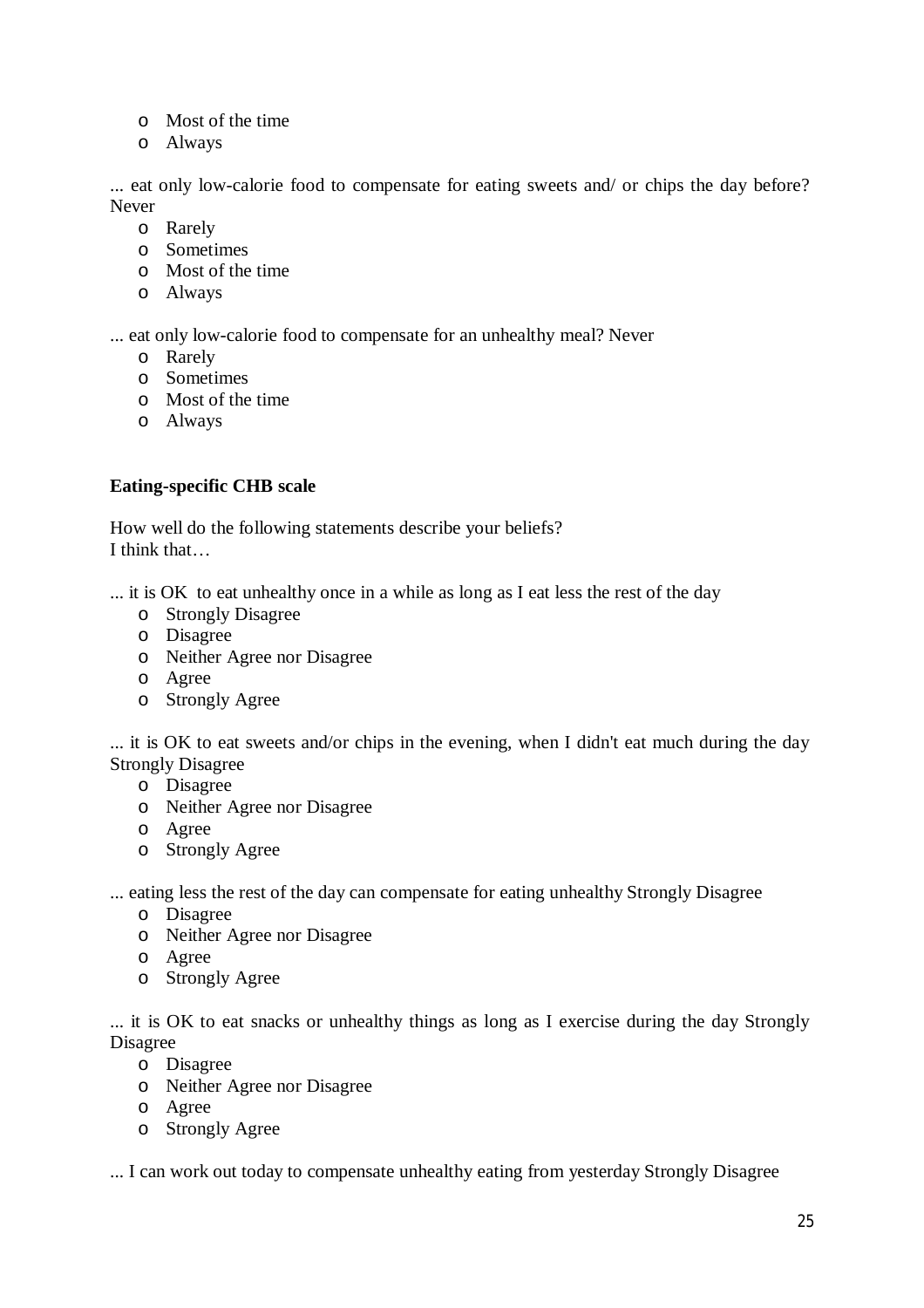- o Most of the time
- o Always

... eat only low-calorie food to compensate for eating sweets and/ or chips the day before? Never

- o Rarely
- o Sometimes
- o Most of the time
- o Always

... eat only low-calorie food to compensate for an unhealthy meal? Never

- o Rarely
- o Sometimes
- o Most of the time
- o Always

## **Eating-specific CHB scale**

How well do the following statements describe your beliefs? I think that…

... it is OK to eat unhealthy once in a while as long as I eat less the rest of the day

- o Strongly Disagree
- o Disagree
- o Neither Agree nor Disagree
- o Agree
- o Strongly Agree

... it is OK to eat sweets and/or chips in the evening, when I didn't eat much during the day Strongly Disagree

- o Disagree
- o Neither Agree nor Disagree
- o Agree
- o Strongly Agree
- ... eating less the rest of the day can compensate for eating unhealthy Strongly Disagree
	- o Disagree
	- o Neither Agree nor Disagree
	- o Agree
	- o Strongly Agree

... it is OK to eat snacks or unhealthy things as long as I exercise during the day Strongly Disagree

- o Disagree
- o Neither Agree nor Disagree
- o Agree
- o Strongly Agree

... I can work out today to compensate unhealthy eating from yesterday Strongly Disagree